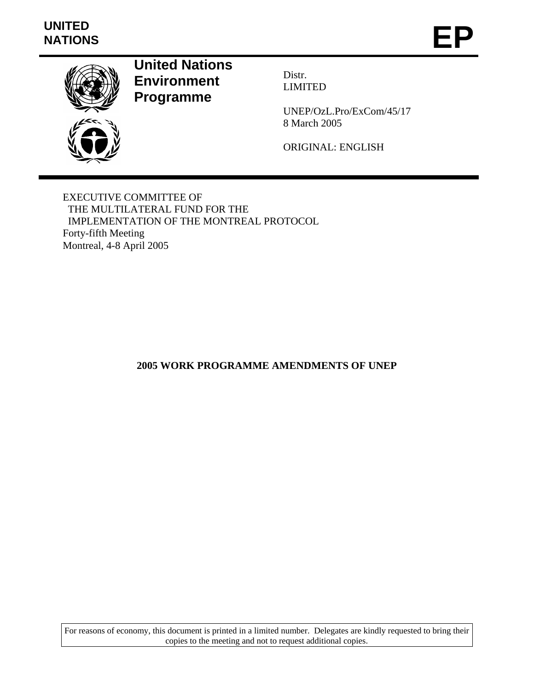# **UNITED**  UNITED<br>NATIONS **EP**



**United Nations Environment Programme** 

Distr. LIMITED

UNEP/OzL.Pro/ExCom/45/17 8 March 2005

ORIGINAL: ENGLISH

EXECUTIVE COMMITTEE OF THE MULTILATERAL FUND FOR THE IMPLEMENTATION OF THE MONTREAL PROTOCOL Forty-fifth Meeting Montreal, 4-8 April 2005

**2005 WORK PROGRAMME AMENDMENTS OF UNEP** 

For reasons of economy, this document is printed in a limited number. Delegates are kindly requested to bring their copies to the meeting and not to request additional copies.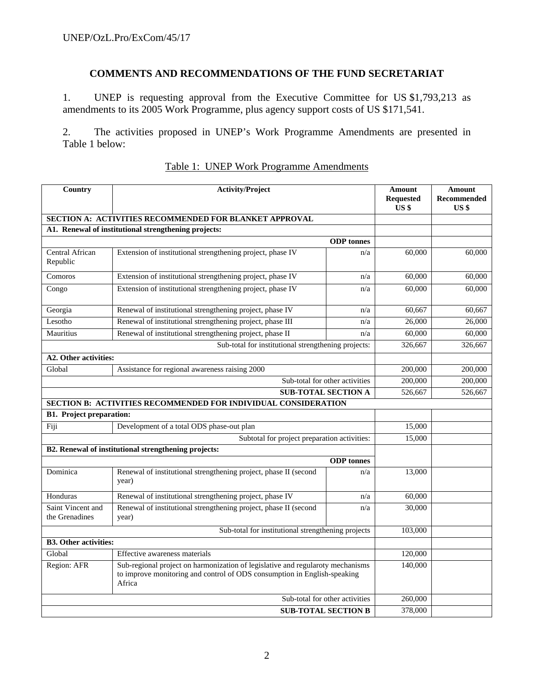## **COMMENTS AND RECOMMENDATIONS OF THE FUND SECRETARIAT**

1. UNEP is requesting approval from the Executive Committee for US \$1,793,213 as amendments to its 2005 Work Programme, plus agency support costs of US \$171,541.

2. The activities proposed in UNEP's Work Programme Amendments are presented in Table 1 below:

| Country                                            | <b>Activity/Project</b>                                                                                                                                              | Amount<br><b>Requested</b><br>US <sub>3</sub> | Amount<br>Recommended<br>US <sub>s</sub> |         |
|----------------------------------------------------|----------------------------------------------------------------------------------------------------------------------------------------------------------------------|-----------------------------------------------|------------------------------------------|---------|
|                                                    | SECTION A: ACTIVITIES RECOMMENDED FOR BLANKET APPROVAL                                                                                                               |                                               |                                          |         |
|                                                    | A1. Renewal of institutional strengthening projects:                                                                                                                 |                                               |                                          |         |
|                                                    |                                                                                                                                                                      | <b>ODP</b> tonnes                             |                                          |         |
| Central African<br>Republic                        | Extension of institutional strengthening project, phase IV                                                                                                           | n/a                                           | 60,000                                   | 60,000  |
| Comoros                                            | Extension of institutional strengthening project, phase IV                                                                                                           | n/a                                           | 60,000                                   | 60,000  |
| Congo                                              | Extension of institutional strengthening project, phase IV                                                                                                           | n/a                                           | 60,000                                   | 60,000  |
| Georgia                                            | Renewal of institutional strengthening project, phase IV                                                                                                             | n/a                                           | 60,667                                   | 60,667  |
| Lesotho                                            | Renewal of institutional strengthening project, phase III                                                                                                            | n/a                                           | 26,000                                   | 26,000  |
| Mauritius                                          | Renewal of institutional strengthening project, phase II                                                                                                             | n/a                                           | 60,000                                   | 60,000  |
|                                                    | Sub-total for institutional strengthening projects:                                                                                                                  |                                               | 326,667                                  | 326,667 |
| A2. Other activities:                              |                                                                                                                                                                      |                                               |                                          |         |
| Global                                             | Assistance for regional awareness raising 2000                                                                                                                       |                                               | 200,000                                  | 200,000 |
|                                                    | 200,000                                                                                                                                                              | 200,000                                       |                                          |         |
|                                                    | <b>SUB-TOTAL SECTION A</b>                                                                                                                                           |                                               | 526,667                                  | 526,667 |
|                                                    | SECTION B: ACTIVITIES RECOMMENDED FOR INDIVIDUAL CONSIDERATION                                                                                                       |                                               |                                          |         |
| <b>B1. Project preparation:</b>                    |                                                                                                                                                                      |                                               |                                          |         |
| Fiji                                               | Development of a total ODS phase-out plan                                                                                                                            |                                               |                                          |         |
|                                                    | 15,000                                                                                                                                                               |                                               |                                          |         |
|                                                    | B2. Renewal of institutional strengthening projects:                                                                                                                 |                                               |                                          |         |
|                                                    |                                                                                                                                                                      | <b>ODP</b> tonnes                             |                                          |         |
| Dominica                                           | Renewal of institutional strengthening project, phase II (second<br>year)                                                                                            | n/a                                           | 13,000                                   |         |
| Honduras                                           | Renewal of institutional strengthening project, phase IV                                                                                                             | n/a                                           | 60,000                                   |         |
| Saint Vincent and<br>the Grenadines                | Renewal of institutional strengthening project, phase II (second<br>year)                                                                                            | n/a                                           | 30,000                                   |         |
| Sub-total for institutional strengthening projects |                                                                                                                                                                      |                                               |                                          |         |
| <b>B3. Other activities:</b>                       |                                                                                                                                                                      |                                               |                                          |         |
| Global                                             | Effective awareness materials                                                                                                                                        |                                               | 120,000                                  |         |
| Region: AFR                                        | Sub-regional project on harmonization of legislative and regularoty mechanisms<br>to improve monitoring and control of ODS consumption in English-speaking<br>Africa |                                               |                                          |         |
| Sub-total for other activities                     |                                                                                                                                                                      |                                               |                                          |         |
|                                                    | <b>SUB-TOTAL SECTION B</b>                                                                                                                                           |                                               | 378,000                                  |         |

#### Table 1: UNEP Work Programme Amendments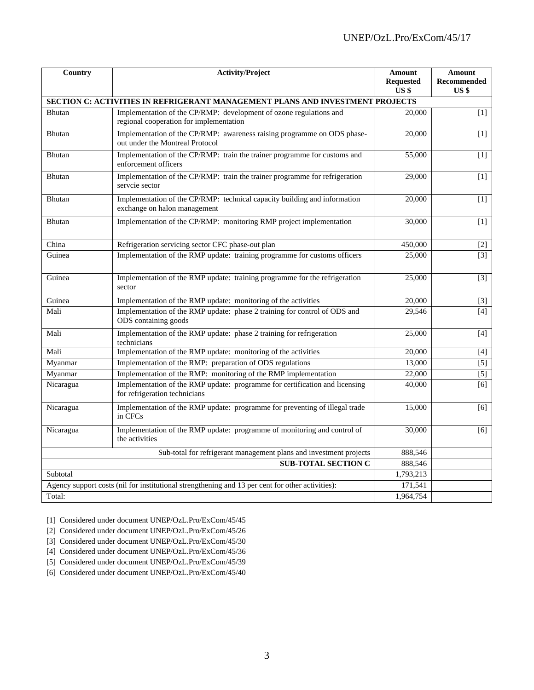| Country   | <b>Activity/Project</b>                                                                                       | <b>Amount</b><br><b>Requested</b><br>US <sub>s</sub> | <b>Amount</b><br>Recommended<br>US <sub>s</sub> |
|-----------|---------------------------------------------------------------------------------------------------------------|------------------------------------------------------|-------------------------------------------------|
|           | <b>SECTION C: ACTIVITIES IN REFRIGERANT MANAGEMENT PLANS AND INVESTMENT PROJECTS</b>                          |                                                      |                                                 |
| Bhutan    | Implementation of the CP/RMP: development of ozone regulations and<br>regional cooperation for implementation | 20,000                                               | $[1]$                                           |
| Bhutan    | Implementation of the CP/RMP: awareness raising programme on ODS phase-<br>out under the Montreal Protocol    | 20,000                                               | $[1]$                                           |
| Bhutan    | Implementation of the CP/RMP: train the trainer programme for customs and<br>enforcement officers             | 55,000                                               | $[1]$                                           |
| Bhutan    | Implementation of the CP/RMP: train the trainer programme for refrigeration<br>servcie sector                 | 29,000                                               | $[1]$                                           |
| Bhutan    | Implementation of the CP/RMP: technical capacity building and information<br>exchange on halon management     | 20,000                                               | $[1]$                                           |
| Bhutan    | Implementation of the CP/RMP: monitoring RMP project implementation                                           | 30,000                                               | $[1]$                                           |
| China     | Refrigeration servicing sector CFC phase-out plan                                                             | 450,000                                              | $[2]$                                           |
| Guinea    | Implementation of the RMP update: training programme for customs officers                                     | 25,000                                               | $[3]$                                           |
| Guinea    | Implementation of the RMP update: training programme for the refrigeration<br>sector                          | 25,000                                               | $[3]$                                           |
| Guinea    | Implementation of the RMP update: monitoring of the activities                                                | 20,000                                               | $[3]$                                           |
| Mali      | Implementation of the RMP update: phase 2 training for control of ODS and<br>ODS containing goods             | 29,546                                               | [4]                                             |
| Mali      | Implementation of the RMP update: phase 2 training for refrigeration<br>technicians                           | 25,000                                               | $[4]$                                           |
| Mali      | Implementation of the RMP update: monitoring of the activities                                                | 20,000                                               | $[4]$                                           |
| Myanmar   | Implementation of the RMP: preparation of ODS regulations                                                     | 13,000                                               | $[5]$                                           |
| Myanmar   | Implementation of the RMP: monitoring of the RMP implementation                                               | 22,000                                               | $\overline{[5]}$                                |
| Nicaragua | Implementation of the RMP update: programme for certification and licensing<br>for refrigeration technicians  | 40,000                                               | $\overline{[6]}$                                |
| Nicaragua | Implementation of the RMP update: programme for preventing of illegal trade<br>in CFCs                        | 15,000                                               | [6]                                             |
| Nicaragua | Implementation of the RMP update: programme of monitoring and control of<br>the activities                    | 30,000                                               | [6]                                             |
|           | Sub-total for refrigerant management plans and investment projects                                            | 888,546                                              |                                                 |
|           | <b>SUB-TOTAL SECTION C</b>                                                                                    | 888,546                                              |                                                 |
| Subtotal  |                                                                                                               | 1,793,213                                            |                                                 |
|           | Agency support costs (nil for institutional strengthening and 13 per cent for other activities):              | 171,541                                              |                                                 |
| Total:    |                                                                                                               | 1,964,754                                            |                                                 |

[1] Considered under document UNEP/OzL.Pro/ExCom/45/45

[2] Considered under document UNEP/OzL.Pro/ExCom/45/26

[3] Considered under document UNEP/OzL.Pro/ExCom/45/30

[4] Considered under document UNEP/OzL.Pro/ExCom/45/36

[5] Considered under document UNEP/OzL.Pro/ExCom/45/39

[6] Considered under document UNEP/OzL.Pro/ExCom/45/40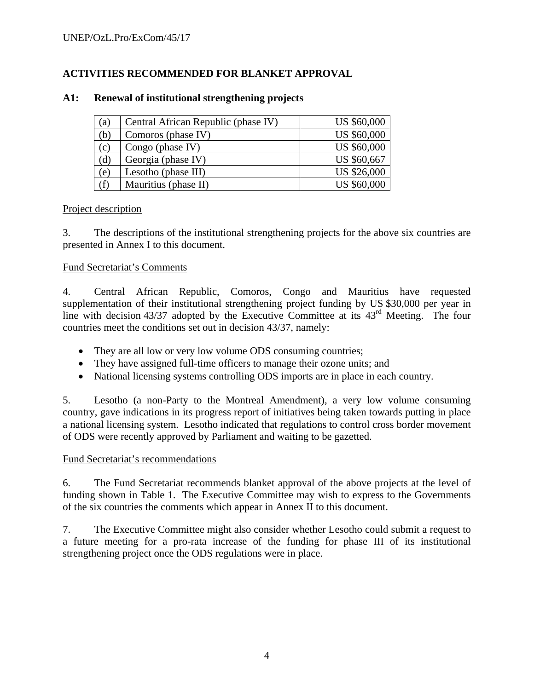# **ACTIVITIES RECOMMENDED FOR BLANKET APPROVAL**

| (a) | Central African Republic (phase IV) | <b>US \$60,000</b> |
|-----|-------------------------------------|--------------------|
| (b) | Comoros (phase IV)                  | <b>US \$60,000</b> |
| (c) | Congo (phase IV)                    | <b>US \$60,000</b> |
| (d) | Georgia (phase IV)                  | US \$60,667        |
| (e) | Lesotho (phase III)                 | <b>US \$26,000</b> |
| (f) | Mauritius (phase II)                | <b>US \$60,000</b> |

## **A1: Renewal of institutional strengthening projects**

## Project description

3. The descriptions of the institutional strengthening projects for the above six countries are presented in Annex I to this document.

## Fund Secretariat's Comments

4. Central African Republic, Comoros, Congo and Mauritius have requested supplementation of their institutional strengthening project funding by US \$30,000 per year in line with decision 43/37 adopted by the Executive Committee at its 43rd Meeting. The four countries meet the conditions set out in decision 43/37, namely:

- They are all low or very low volume ODS consuming countries;
- They have assigned full-time officers to manage their ozone units; and
- National licensing systems controlling ODS imports are in place in each country.

5. Lesotho (a non-Party to the Montreal Amendment), a very low volume consuming country, gave indications in its progress report of initiatives being taken towards putting in place a national licensing system. Lesotho indicated that regulations to control cross border movement of ODS were recently approved by Parliament and waiting to be gazetted.

#### Fund Secretariat's recommendations

6. The Fund Secretariat recommends blanket approval of the above projects at the level of funding shown in Table 1. The Executive Committee may wish to express to the Governments of the six countries the comments which appear in Annex II to this document.

7. The Executive Committee might also consider whether Lesotho could submit a request to a future meeting for a pro-rata increase of the funding for phase III of its institutional strengthening project once the ODS regulations were in place.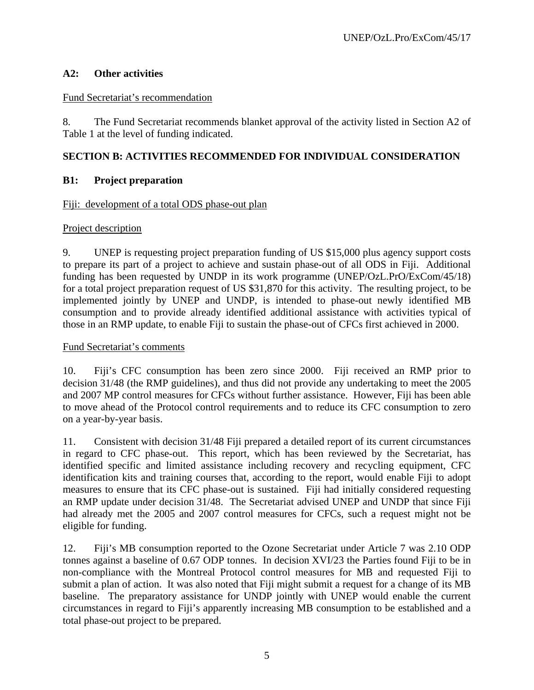## **A2: Other activities**

## Fund Secretariat's recommendation

8. The Fund Secretariat recommends blanket approval of the activity listed in Section A2 of Table 1 at the level of funding indicated.

## **SECTION B: ACTIVITIES RECOMMENDED FOR INDIVIDUAL CONSIDERATION**

## **B1: Project preparation**

## Fiji: development of a total ODS phase-out plan

## Project description

9. UNEP is requesting project preparation funding of US \$15,000 plus agency support costs to prepare its part of a project to achieve and sustain phase-out of all ODS in Fiji. Additional funding has been requested by UNDP in its work programme (UNEP/OzL.PrO/ExCom/45/18) for a total project preparation request of US \$31,870 for this activity. The resulting project, to be implemented jointly by UNEP and UNDP, is intended to phase-out newly identified MB consumption and to provide already identified additional assistance with activities typical of those in an RMP update, to enable Fiji to sustain the phase-out of CFCs first achieved in 2000.

## Fund Secretariat's comments

10. Fiji's CFC consumption has been zero since 2000. Fiji received an RMP prior to decision 31/48 (the RMP guidelines), and thus did not provide any undertaking to meet the 2005 and 2007 MP control measures for CFCs without further assistance. However, Fiji has been able to move ahead of the Protocol control requirements and to reduce its CFC consumption to zero on a year-by-year basis.

11. Consistent with decision 31/48 Fiji prepared a detailed report of its current circumstances in regard to CFC phase-out. This report, which has been reviewed by the Secretariat, has identified specific and limited assistance including recovery and recycling equipment, CFC identification kits and training courses that, according to the report, would enable Fiji to adopt measures to ensure that its CFC phase-out is sustained. Fiji had initially considered requesting an RMP update under decision 31/48. The Secretariat advised UNEP and UNDP that since Fiji had already met the 2005 and 2007 control measures for CFCs, such a request might not be eligible for funding.

12. Fiji's MB consumption reported to the Ozone Secretariat under Article 7 was 2.10 ODP tonnes against a baseline of 0.67 ODP tonnes. In decision XVI/23 the Parties found Fiji to be in non-compliance with the Montreal Protocol control measures for MB and requested Fiji to submit a plan of action. It was also noted that Fiji might submit a request for a change of its MB baseline. The preparatory assistance for UNDP jointly with UNEP would enable the current circumstances in regard to Fiji's apparently increasing MB consumption to be established and a total phase-out project to be prepared.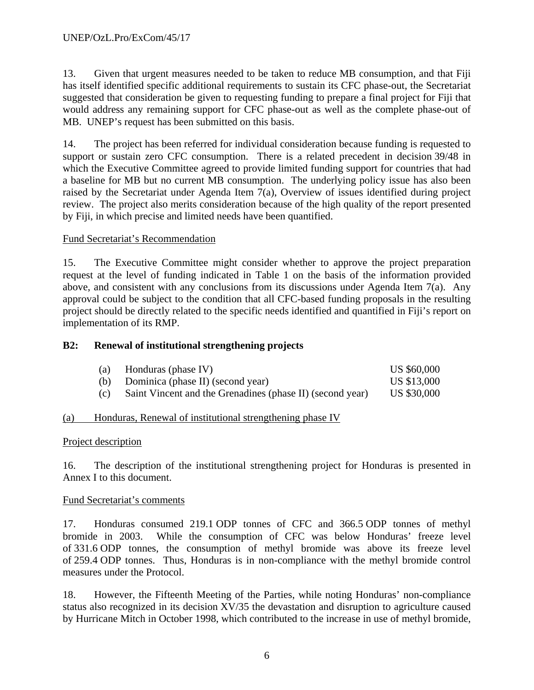13. Given that urgent measures needed to be taken to reduce MB consumption, and that Fiji has itself identified specific additional requirements to sustain its CFC phase-out, the Secretariat suggested that consideration be given to requesting funding to prepare a final project for Fiji that would address any remaining support for CFC phase-out as well as the complete phase-out of MB. UNEP's request has been submitted on this basis.

14. The project has been referred for individual consideration because funding is requested to support or sustain zero CFC consumption. There is a related precedent in decision 39/48 in which the Executive Committee agreed to provide limited funding support for countries that had a baseline for MB but no current MB consumption. The underlying policy issue has also been raised by the Secretariat under Agenda Item 7(a), Overview of issues identified during project review. The project also merits consideration because of the high quality of the report presented by Fiji, in which precise and limited needs have been quantified.

## Fund Secretariat's Recommendation

15. The Executive Committee might consider whether to approve the project preparation request at the level of funding indicated in Table 1 on the basis of the information provided above, and consistent with any conclusions from its discussions under Agenda Item 7(a). Any approval could be subject to the condition that all CFC-based funding proposals in the resulting project should be directly related to the specific needs identified and quantified in Fiji's report on implementation of its RMP.

#### **B2: Renewal of institutional strengthening projects**

| (a) | Honduras (phase IV)                                       | US \$60,000 |
|-----|-----------------------------------------------------------|-------------|
| (b) | Dominica (phase II) (second year)                         | US \$13,000 |
| (c) | Saint Vincent and the Grenadines (phase II) (second year) | US \$30,000 |

#### (a) Honduras, Renewal of institutional strengthening phase IV

#### Project description

16. The description of the institutional strengthening project for Honduras is presented in Annex I to this document.

#### Fund Secretariat's comments

17. Honduras consumed 219.1 ODP tonnes of CFC and 366.5 ODP tonnes of methyl bromide in 2003. While the consumption of CFC was below Honduras' freeze level of 331.6 ODP tonnes, the consumption of methyl bromide was above its freeze level of 259.4 ODP tonnes. Thus, Honduras is in non-compliance with the methyl bromide control measures under the Protocol.

18. However, the Fifteenth Meeting of the Parties, while noting Honduras' non-compliance status also recognized in its decision XV/35 the devastation and disruption to agriculture caused by Hurricane Mitch in October 1998, which contributed to the increase in use of methyl bromide,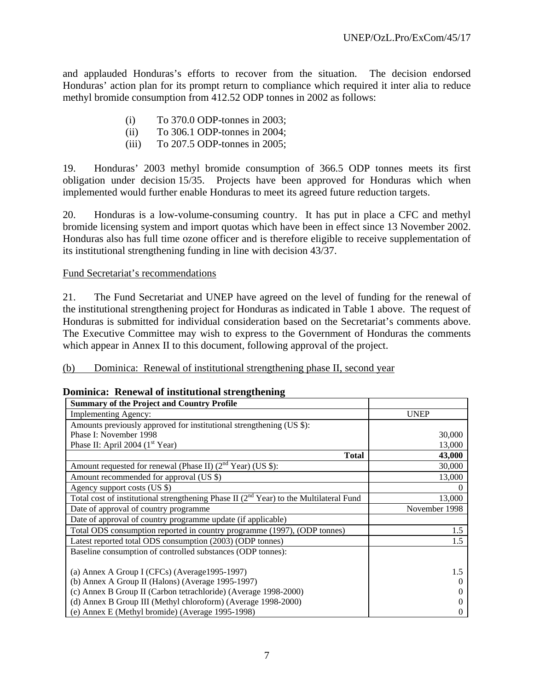and applauded Honduras's efforts to recover from the situation. The decision endorsed Honduras' action plan for its prompt return to compliance which required it inter alia to reduce methyl bromide consumption from 412.52 ODP tonnes in 2002 as follows:

- (i) To 370.0 ODP-tonnes in 2003;
- (ii) To 306.1 ODP-tonnes in 2004;
- (iii) To 207.5 ODP-tonnes in 2005;

19. Honduras' 2003 methyl bromide consumption of 366.5 ODP tonnes meets its first obligation under decision 15/35. Projects have been approved for Honduras which when implemented would further enable Honduras to meet its agreed future reduction targets.

20. Honduras is a low-volume-consuming country. It has put in place a CFC and methyl bromide licensing system and import quotas which have been in effect since 13 November 2002. Honduras also has full time ozone officer and is therefore eligible to receive supplementation of its institutional strengthening funding in line with decision 43/37.

## Fund Secretariat's recommendations

21. The Fund Secretariat and UNEP have agreed on the level of funding for the renewal of the institutional strengthening project for Honduras as indicated in Table 1 above. The request of Honduras is submitted for individual consideration based on the Secretariat's comments above. The Executive Committee may wish to express to the Government of Honduras the comments which appear in Annex II to this document, following approval of the project.

#### (b) Dominica: Renewal of institutional strengthening phase II, second year

| <b>Summary of the Project and Country Profile</b>                                           |                  |
|---------------------------------------------------------------------------------------------|------------------|
| <b>Implementing Agency:</b>                                                                 | <b>UNEP</b>      |
| Amounts previously approved for institutional strengthening (US \$):                        |                  |
| Phase I: November 1998                                                                      | 30,000           |
| Phase II: April 2004 $(1st Year)$                                                           | 13,000           |
| <b>Total</b>                                                                                | 43,000           |
| Amount requested for renewal (Phase II) $(2nd Year)$ (US \$):                               | 30,000           |
| Amount recommended for approval (US \$)                                                     | 13,000           |
| Agency support costs (US \$)                                                                | $\boldsymbol{0}$ |
| Total cost of institutional strengthening Phase II $(2^{nd}$ Year) to the Multilateral Fund | 13,000           |
| Date of approval of country programme                                                       | November 1998    |
| Date of approval of country programme update (if applicable)                                |                  |
| Total ODS consumption reported in country programme (1997), (ODP tonnes)                    | 1.5              |
| Latest reported total ODS consumption (2003) (ODP tonnes)                                   | 1.5              |
| Baseline consumption of controlled substances (ODP tonnes):                                 |                  |
| (a) Annex A Group I (CFCs) (Average 1995-1997)                                              | 1.5              |
| (b) Annex A Group II (Halons) (Average 1995-1997)                                           | $\Omega$         |
| (c) Annex B Group II (Carbon tetrachloride) (Average 1998-2000)                             | 0                |
| (d) Annex B Group III (Methyl chloroform) (Average 1998-2000)                               | $\theta$         |
| (e) Annex E (Methyl bromide) (Average 1995-1998)                                            | 0                |

**Dominica: Renewal of institutional strengthening**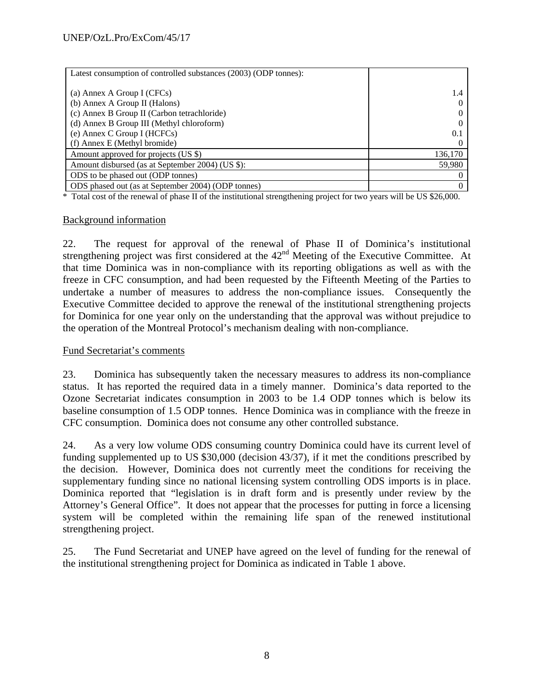| Latest consumption of controlled substances (2003) (ODP tonnes): |         |
|------------------------------------------------------------------|---------|
|                                                                  |         |
| (a) Annex A Group I (CFCs)                                       | 1.4     |
| (b) Annex A Group II (Halons)                                    |         |
| (c) Annex B Group II (Carbon tetrachloride)                      |         |
| (d) Annex B Group III (Methyl chloroform)                        |         |
| (e) Annex C Group I (HCFCs)                                      | 0.1     |
| (f) Annex E (Methyl bromide)                                     |         |
| Amount approved for projects (US \$)                             | 136,170 |
| Amount disbursed (as at September 2004) (US \$):                 | 59,980  |
| ODS to be phased out (ODP tonnes)                                |         |
| ODS phased out (as at September 2004) (ODP tonnes)               |         |

\* Total cost of the renewal of phase II of the institutional strengthening project for two years will be US \$26,000.

#### Background information

22. The request for approval of the renewal of Phase II of Dominica's institutional strengthening project was first considered at the  $42<sup>nd</sup>$  Meeting of the Executive Committee. At that time Dominica was in non-compliance with its reporting obligations as well as with the freeze in CFC consumption, and had been requested by the Fifteenth Meeting of the Parties to undertake a number of measures to address the non-compliance issues. Consequently the Executive Committee decided to approve the renewal of the institutional strengthening projects for Dominica for one year only on the understanding that the approval was without prejudice to the operation of the Montreal Protocol's mechanism dealing with non-compliance.

#### Fund Secretariat's comments

23. Dominica has subsequently taken the necessary measures to address its non-compliance status. It has reported the required data in a timely manner. Dominica's data reported to the Ozone Secretariat indicates consumption in 2003 to be 1.4 ODP tonnes which is below its baseline consumption of 1.5 ODP tonnes. Hence Dominica was in compliance with the freeze in CFC consumption. Dominica does not consume any other controlled substance.

24. As a very low volume ODS consuming country Dominica could have its current level of funding supplemented up to US \$30,000 (decision 43/37), if it met the conditions prescribed by the decision. However, Dominica does not currently meet the conditions for receiving the supplementary funding since no national licensing system controlling ODS imports is in place. Dominica reported that "legislation is in draft form and is presently under review by the Attorney's General Office". It does not appear that the processes for putting in force a licensing system will be completed within the remaining life span of the renewed institutional strengthening project.

25. The Fund Secretariat and UNEP have agreed on the level of funding for the renewal of the institutional strengthening project for Dominica as indicated in Table 1 above.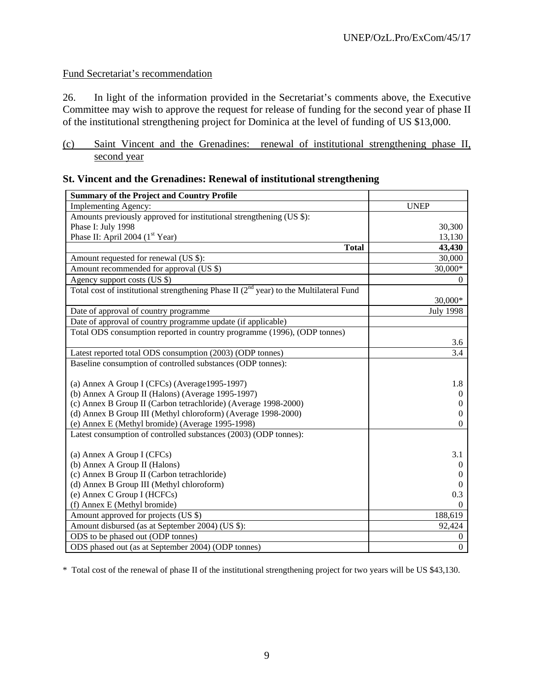# Fund Secretariat's recommendation

26. In light of the information provided in the Secretariat's comments above, the Executive Committee may wish to approve the request for release of funding for the second year of phase II of the institutional strengthening project for Dominica at the level of funding of US \$13,000.

## (c) Saint Vincent and the Grenadines: renewal of institutional strengthening phase II, second year

| <b>Summary of the Project and Country Profile</b>                                           |                  |
|---------------------------------------------------------------------------------------------|------------------|
| Implementing Agency:                                                                        | <b>UNEP</b>      |
| Amounts previously approved for institutional strengthening (US \$):                        |                  |
| Phase I: July 1998                                                                          | 30,300           |
| Phase II: April 2004 ( $1st$ Year)                                                          | 13,130           |
| <b>Total</b>                                                                                | 43,430           |
| Amount requested for renewal (US \$):                                                       | 30,000           |
| Amount recommended for approval (US \$)                                                     | 30,000*          |
| Agency support costs (US \$)                                                                | 0                |
| Total cost of institutional strengthening Phase II $(2^{nd}$ year) to the Multilateral Fund |                  |
|                                                                                             | 30,000*          |
| Date of approval of country programme                                                       | <b>July 1998</b> |
| Date of approval of country programme update (if applicable)                                |                  |
| Total ODS consumption reported in country programme (1996), (ODP tonnes)                    |                  |
|                                                                                             | 3.6              |
| Latest reported total ODS consumption (2003) (ODP tonnes)                                   | 3.4              |
| Baseline consumption of controlled substances (ODP tonnes):                                 |                  |
|                                                                                             |                  |
| (a) Annex A Group I (CFCs) (Average1995-1997)                                               | 1.8              |
| (b) Annex A Group II (Halons) (Average 1995-1997)                                           | $\theta$         |
| (c) Annex B Group II (Carbon tetrachloride) (Average 1998-2000)                             | $\theta$         |
| (d) Annex B Group III (Methyl chloroform) (Average 1998-2000)                               | $\theta$         |
| (e) Annex E (Methyl bromide) (Average 1995-1998)                                            | $\Omega$         |
| Latest consumption of controlled substances (2003) (ODP tonnes):                            |                  |
|                                                                                             |                  |
| (a) Annex A Group I (CFCs)                                                                  | 3.1              |
| (b) Annex A Group II (Halons)                                                               | $\theta$         |
| (c) Annex B Group II (Carbon tetrachloride)                                                 | 0                |
| (d) Annex B Group III (Methyl chloroform)                                                   | $\Omega$         |
| (e) Annex C Group I (HCFCs)                                                                 | 0.3              |
| (f) Annex E (Methyl bromide)                                                                | $\Omega$         |
| Amount approved for projects (US \$)                                                        | 188,619          |
| Amount disbursed (as at September 2004) (US \$):                                            | 92,424           |
| ODS to be phased out (ODP tonnes)                                                           | $\boldsymbol{0}$ |
| ODS phased out (as at September 2004) (ODP tonnes)                                          | $\mathbf{0}$     |

|  |  |  | <b>St. Vincent and the Grenadines: Renewal of institutional strengthening</b> |
|--|--|--|-------------------------------------------------------------------------------|
|  |  |  |                                                                               |

\* Total cost of the renewal of phase II of the institutional strengthening project for two years will be US \$43,130.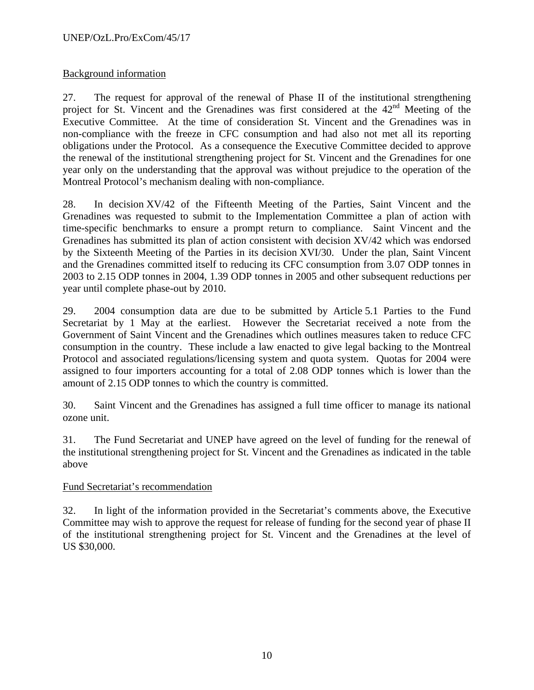## Background information

27. The request for approval of the renewal of Phase II of the institutional strengthening project for St. Vincent and the Grenadines was first considered at the  $42<sup>nd</sup>$  Meeting of the Executive Committee. At the time of consideration St. Vincent and the Grenadines was in non-compliance with the freeze in CFC consumption and had also not met all its reporting obligations under the Protocol. As a consequence the Executive Committee decided to approve the renewal of the institutional strengthening project for St. Vincent and the Grenadines for one year only on the understanding that the approval was without prejudice to the operation of the Montreal Protocol's mechanism dealing with non-compliance.

28. In decision XV/42 of the Fifteenth Meeting of the Parties, Saint Vincent and the Grenadines was requested to submit to the Implementation Committee a plan of action with time-specific benchmarks to ensure a prompt return to compliance. Saint Vincent and the Grenadines has submitted its plan of action consistent with decision XV/42 which was endorsed by the Sixteenth Meeting of the Parties in its decision XVI/30. Under the plan, Saint Vincent and the Grenadines committed itself to reducing its CFC consumption from 3.07 ODP tonnes in 2003 to 2.15 ODP tonnes in 2004, 1.39 ODP tonnes in 2005 and other subsequent reductions per year until complete phase-out by 2010.

29. 2004 consumption data are due to be submitted by Article 5.1 Parties to the Fund Secretariat by 1 May at the earliest. However the Secretariat received a note from the Government of Saint Vincent and the Grenadines which outlines measures taken to reduce CFC consumption in the country. These include a law enacted to give legal backing to the Montreal Protocol and associated regulations/licensing system and quota system. Quotas for 2004 were assigned to four importers accounting for a total of 2.08 ODP tonnes which is lower than the amount of 2.15 ODP tonnes to which the country is committed.

30. Saint Vincent and the Grenadines has assigned a full time officer to manage its national ozone unit.

31. The Fund Secretariat and UNEP have agreed on the level of funding for the renewal of the institutional strengthening project for St. Vincent and the Grenadines as indicated in the table above

## Fund Secretariat's recommendation

32. In light of the information provided in the Secretariat's comments above, the Executive Committee may wish to approve the request for release of funding for the second year of phase II of the institutional strengthening project for St. Vincent and the Grenadines at the level of US \$30,000.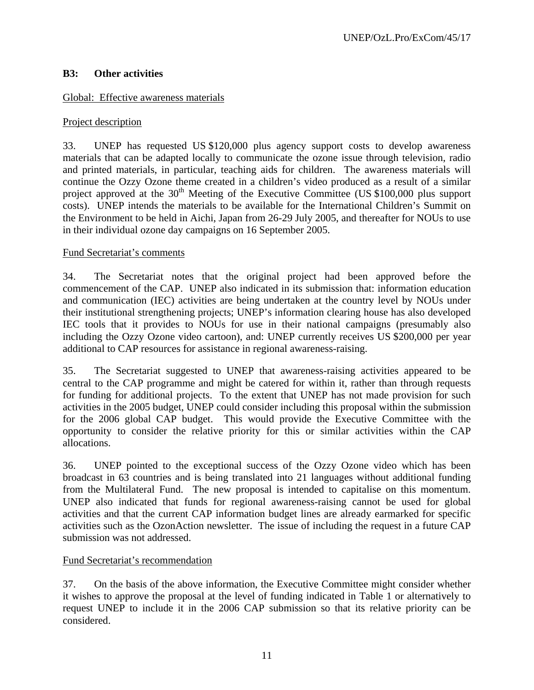## **B3: Other activities**

## Global: Effective awareness materials

## Project description

33. UNEP has requested US \$120,000 plus agency support costs to develop awareness materials that can be adapted locally to communicate the ozone issue through television, radio and printed materials, in particular, teaching aids for children. The awareness materials will continue the Ozzy Ozone theme created in a children's video produced as a result of a similar project approved at the  $30<sup>th</sup>$  Meeting of the Executive Committee (US \$100,000 plus support costs). UNEP intends the materials to be available for the International Children's Summit on the Environment to be held in Aichi, Japan from 26-29 July 2005, and thereafter for NOUs to use in their individual ozone day campaigns on 16 September 2005.

#### Fund Secretariat's comments

34. The Secretariat notes that the original project had been approved before the commencement of the CAP. UNEP also indicated in its submission that: information education and communication (IEC) activities are being undertaken at the country level by NOUs under their institutional strengthening projects; UNEP's information clearing house has also developed IEC tools that it provides to NOUs for use in their national campaigns (presumably also including the Ozzy Ozone video cartoon), and: UNEP currently receives US \$200,000 per year additional to CAP resources for assistance in regional awareness-raising.

35. The Secretariat suggested to UNEP that awareness-raising activities appeared to be central to the CAP programme and might be catered for within it, rather than through requests for funding for additional projects. To the extent that UNEP has not made provision for such activities in the 2005 budget, UNEP could consider including this proposal within the submission for the 2006 global CAP budget. This would provide the Executive Committee with the opportunity to consider the relative priority for this or similar activities within the CAP allocations.

36. UNEP pointed to the exceptional success of the Ozzy Ozone video which has been broadcast in 63 countries and is being translated into 21 languages without additional funding from the Multilateral Fund. The new proposal is intended to capitalise on this momentum. UNEP also indicated that funds for regional awareness-raising cannot be used for global activities and that the current CAP information budget lines are already earmarked for specific activities such as the OzonAction newsletter. The issue of including the request in a future CAP submission was not addressed.

## Fund Secretariat's recommendation

37. On the basis of the above information, the Executive Committee might consider whether it wishes to approve the proposal at the level of funding indicated in Table 1 or alternatively to request UNEP to include it in the 2006 CAP submission so that its relative priority can be considered.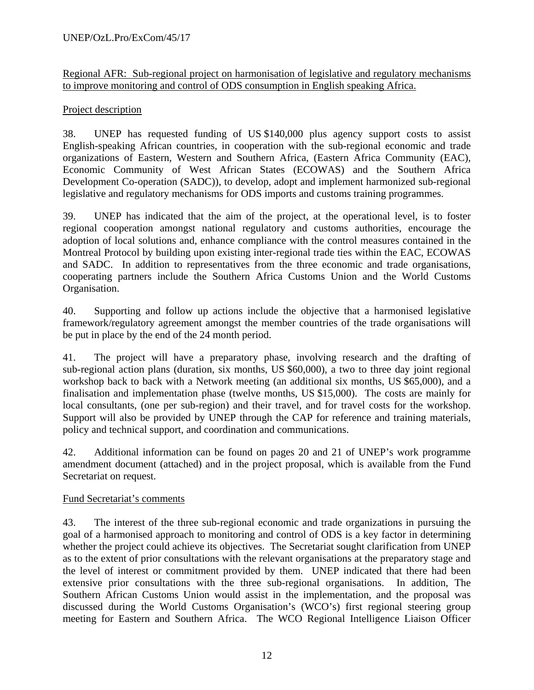Regional AFR: Sub-regional project on harmonisation of legislative and regulatory mechanisms to improve monitoring and control of ODS consumption in English speaking Africa.

## Project description

38. UNEP has requested funding of US \$140,000 plus agency support costs to assist English-speaking African countries, in cooperation with the sub-regional economic and trade organizations of Eastern, Western and Southern Africa, (Eastern Africa Community (EAC), Economic Community of West African States (ECOWAS) and the Southern Africa Development Co-operation (SADC)), to develop, adopt and implement harmonized sub-regional legislative and regulatory mechanisms for ODS imports and customs training programmes.

39. UNEP has indicated that the aim of the project, at the operational level, is to foster regional cooperation amongst national regulatory and customs authorities, encourage the adoption of local solutions and, enhance compliance with the control measures contained in the Montreal Protocol by building upon existing inter-regional trade ties within the EAC, ECOWAS and SADC. In addition to representatives from the three economic and trade organisations, cooperating partners include the Southern Africa Customs Union and the World Customs Organisation.

40. Supporting and follow up actions include the objective that a harmonised legislative framework/regulatory agreement amongst the member countries of the trade organisations will be put in place by the end of the 24 month period.

41. The project will have a preparatory phase, involving research and the drafting of sub-regional action plans (duration, six months, US \$60,000), a two to three day joint regional workshop back to back with a Network meeting (an additional six months, US \$65,000), and a finalisation and implementation phase (twelve months, US \$15,000). The costs are mainly for local consultants, (one per sub-region) and their travel, and for travel costs for the workshop. Support will also be provided by UNEP through the CAP for reference and training materials, policy and technical support, and coordination and communications.

42. Additional information can be found on pages 20 and 21 of UNEP's work programme amendment document (attached) and in the project proposal, which is available from the Fund Secretariat on request.

## Fund Secretariat's comments

43. The interest of the three sub-regional economic and trade organizations in pursuing the goal of a harmonised approach to monitoring and control of ODS is a key factor in determining whether the project could achieve its objectives. The Secretariat sought clarification from UNEP as to the extent of prior consultations with the relevant organisations at the preparatory stage and the level of interest or commitment provided by them. UNEP indicated that there had been extensive prior consultations with the three sub-regional organisations. In addition, The Southern African Customs Union would assist in the implementation, and the proposal was discussed during the World Customs Organisation's (WCO's) first regional steering group meeting for Eastern and Southern Africa. The WCO Regional Intelligence Liaison Officer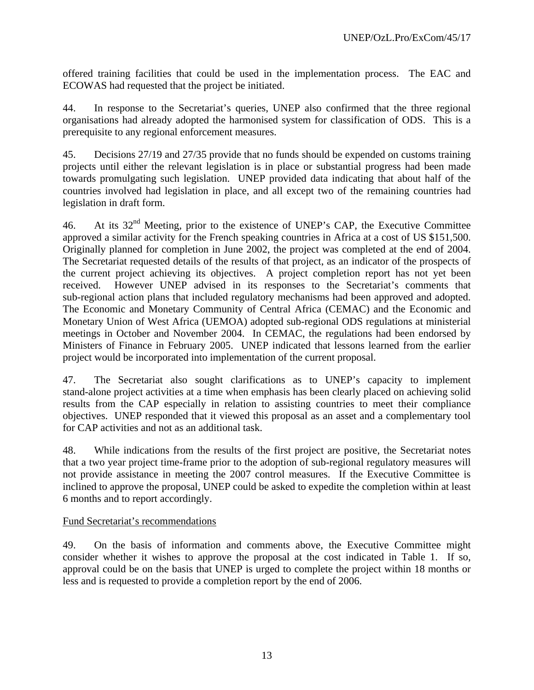offered training facilities that could be used in the implementation process. The EAC and ECOWAS had requested that the project be initiated.

44. In response to the Secretariat's queries, UNEP also confirmed that the three regional organisations had already adopted the harmonised system for classification of ODS. This is a prerequisite to any regional enforcement measures.

45. Decisions 27/19 and 27/35 provide that no funds should be expended on customs training projects until either the relevant legislation is in place or substantial progress had been made towards promulgating such legislation. UNEP provided data indicating that about half of the countries involved had legislation in place, and all except two of the remaining countries had legislation in draft form.

46. At its  $32<sup>nd</sup>$  Meeting, prior to the existence of UNEP's CAP, the Executive Committee approved a similar activity for the French speaking countries in Africa at a cost of US \$151,500. Originally planned for completion in June 2002, the project was completed at the end of 2004. The Secretariat requested details of the results of that project, as an indicator of the prospects of the current project achieving its objectives. A project completion report has not yet been received. However UNEP advised in its responses to the Secretariat's comments that sub-regional action plans that included regulatory mechanisms had been approved and adopted. The Economic and Monetary Community of Central Africa (CEMAC) and the Economic and Monetary Union of West Africa (UEMOA) adopted sub-regional ODS regulations at ministerial meetings in October and November 2004. In CEMAC, the regulations had been endorsed by Ministers of Finance in February 2005. UNEP indicated that lessons learned from the earlier project would be incorporated into implementation of the current proposal.

47. The Secretariat also sought clarifications as to UNEP's capacity to implement stand-alone project activities at a time when emphasis has been clearly placed on achieving solid results from the CAP especially in relation to assisting countries to meet their compliance objectives. UNEP responded that it viewed this proposal as an asset and a complementary tool for CAP activities and not as an additional task.

48. While indications from the results of the first project are positive, the Secretariat notes that a two year project time-frame prior to the adoption of sub-regional regulatory measures will not provide assistance in meeting the 2007 control measures. If the Executive Committee is inclined to approve the proposal, UNEP could be asked to expedite the completion within at least 6 months and to report accordingly.

#### Fund Secretariat's recommendations

49. On the basis of information and comments above, the Executive Committee might consider whether it wishes to approve the proposal at the cost indicated in Table 1. If so, approval could be on the basis that UNEP is urged to complete the project within 18 months or less and is requested to provide a completion report by the end of 2006.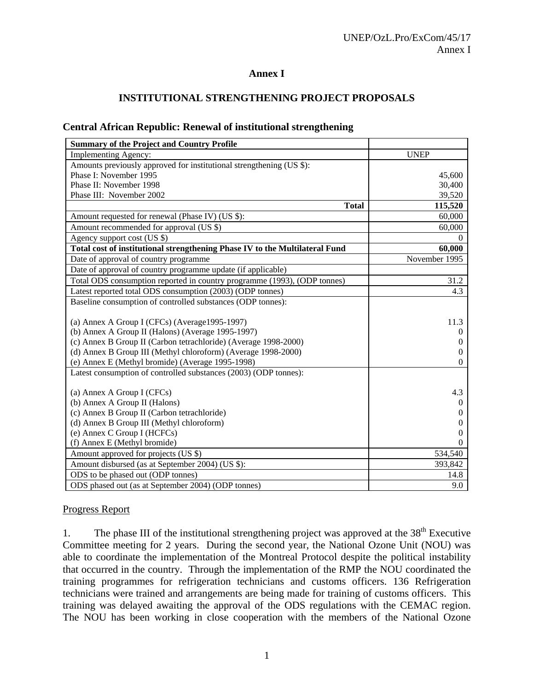#### **Annex I**

## **INSTITUTIONAL STRENGTHENING PROJECT PROPOSALS**

|  |  | <b>Central African Republic: Renewal of institutional strengthening</b> |
|--|--|-------------------------------------------------------------------------|
|  |  |                                                                         |

| <b>Summary of the Project and Country Profile</b>                           |               |
|-----------------------------------------------------------------------------|---------------|
| <b>Implementing Agency:</b>                                                 | <b>UNEP</b>   |
| Amounts previously approved for institutional strengthening (US \$):        |               |
| Phase I: November 1995                                                      | 45,600        |
| Phase II: November 1998                                                     | 30,400        |
| Phase III: November 2002                                                    | 39,520        |
| <b>Total</b>                                                                | 115,520       |
| Amount requested for renewal (Phase IV) (US \$):                            | 60,000        |
| Amount recommended for approval (US \$)                                     | 60,000        |
| Agency support cost (US \$)                                                 | 0             |
| Total cost of institutional strengthening Phase IV to the Multilateral Fund | 60,000        |
| Date of approval of country programme                                       | November 1995 |
| Date of approval of country programme update (if applicable)                |               |
| Total ODS consumption reported in country programme (1993), (ODP tonnes)    | 31.2          |
| Latest reported total ODS consumption (2003) (ODP tonnes)                   | 4.3           |
| Baseline consumption of controlled substances (ODP tonnes):                 |               |
|                                                                             |               |
| (a) Annex A Group I (CFCs) (Average1995-1997)                               | 11.3          |
| (b) Annex A Group II (Halons) (Average 1995-1997)                           | $\theta$      |
| (c) Annex B Group II (Carbon tetrachloride) (Average 1998-2000)             | $\theta$      |
| (d) Annex B Group III (Methyl chloroform) (Average 1998-2000)               | $\theta$      |
| (e) Annex E (Methyl bromide) (Average 1995-1998)                            | $\Omega$      |
| Latest consumption of controlled substances (2003) (ODP tonnes):            |               |
| (a) Annex A Group I (CFCs)                                                  | 4.3           |
| (b) Annex A Group II (Halons)                                               | $\theta$      |
| (c) Annex B Group II (Carbon tetrachloride)                                 | $\theta$      |
| (d) Annex B Group III (Methyl chloroform)                                   | $\theta$      |
| (e) Annex C Group I (HCFCs)                                                 | $\theta$      |
| (f) Annex E (Methyl bromide)                                                | $\Omega$      |
| Amount approved for projects (US \$)                                        | 534,540       |
| Amount disbursed (as at September 2004) (US \$):                            | 393,842       |
| ODS to be phased out (ODP tonnes)                                           | 14.8          |
| ODS phased out (as at September 2004) (ODP tonnes)                          | 9.0           |

#### Progress Report

1. The phase III of the institutional strengthening project was approved at the  $38<sup>th</sup>$  Executive Committee meeting for 2 years. During the second year, the National Ozone Unit (NOU) was able to coordinate the implementation of the Montreal Protocol despite the political instability that occurred in the country. Through the implementation of the RMP the NOU coordinated the training programmes for refrigeration technicians and customs officers. 136 Refrigeration technicians were trained and arrangements are being made for training of customs officers. This training was delayed awaiting the approval of the ODS regulations with the CEMAC region. The NOU has been working in close cooperation with the members of the National Ozone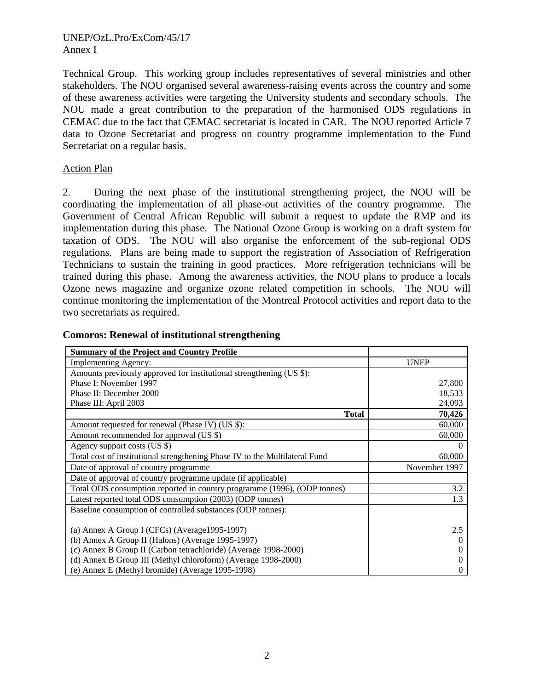#### UNEP/OzL.Pro/ExCom/45/17 Annex I

Technical Group. This working group includes representatives of several ministries and other stakeholders. The NOU organised several awareness-raising events across the country and some of these awareness activities were targeting the University students and secondary schools. The NOU made a great contribution to the preparation of the harmonised ODS regulations in CEMAC due to the fact that CEMAC secretariat is located in CAR. The NOU reported Article 7 data to Ozone Secretariat and progress on country programme implementation to the Fund Secretariat on a regular basis.

#### Action Plan

2. During the next phase of the institutional strengthening project, the NOU will be coordinating the implementation of all phase-out activities of the country programme. The Government of Central African Republic will submit a request to update the RMP and its implementation during this phase. The National Ozone Group is working on a draft system for taxation of ODS. The NOU will also organise the enforcement of the sub-regional ODS regulations. Plans are being made to support the registration of Association of Refrigeration Technicians to sustain the training in good practices. More refrigeration technicians will be trained during this phase. Among the awareness activities, the NOU plans to produce a locals Ozone news magazine and organize ozone related competition in schools. The NOU will continue monitoring the implementation of the Montreal Protocol activities and report data to the two secretariats as required.

| <b>Summary of the Project and Country Profile</b>                           |               |
|-----------------------------------------------------------------------------|---------------|
| <b>Implementing Agency:</b>                                                 | <b>UNEP</b>   |
| Amounts previously approved for institutional strengthening (US \$):        |               |
| Phase I: November 1997                                                      | 27,800        |
| Phase II: December 2000                                                     | 18,533        |
| Phase III: April 2003                                                       | 24,093        |
| <b>Total</b>                                                                | 70,426        |
| Amount requested for renewal (Phase IV) (US \$):                            | 60,000        |
| Amount recommended for approval (US \$)                                     | 60,000        |
| Agency support costs (US \$)                                                |               |
| Total cost of institutional strengthening Phase IV to the Multilateral Fund | 60,000        |
| Date of approval of country programme                                       | November 1997 |
| Date of approval of country programme update (if applicable)                |               |
| Total ODS consumption reported in country programme (1996), (ODP tonnes)    | 3.2           |
| Latest reported total ODS consumption (2003) (ODP tonnes)                   | 1.3           |
| Baseline consumption of controlled substances (ODP tonnes):                 |               |
|                                                                             |               |
| (a) Annex A Group I (CFCs) (Average1995-1997)                               | 2.5           |
| (b) Annex A Group II (Halons) (Average 1995-1997)                           | $\theta$      |
| (c) Annex B Group II (Carbon tetrachloride) (Average 1998-2000)             |               |
| (d) Annex B Group III (Methyl chloroform) (Average 1998-2000)               |               |
| (e) Annex E (Methyl bromide) (Average 1995-1998)                            |               |

#### **Comoros: Renewal of institutional strengthening**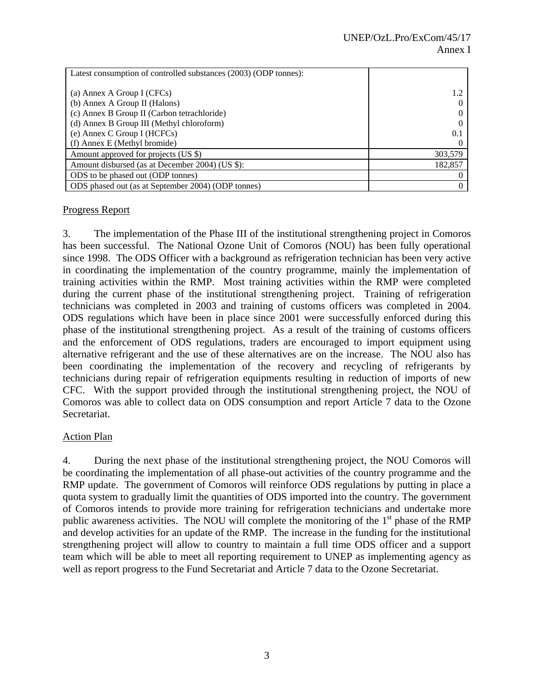| Latest consumption of controlled substances (2003) (ODP tonnes): |         |
|------------------------------------------------------------------|---------|
|                                                                  |         |
| (a) Annex A Group I (CFCs)                                       | 1.2     |
| (b) Annex A Group II (Halons)                                    |         |
| (c) Annex B Group II (Carbon tetrachloride)                      |         |
| (d) Annex B Group III (Methyl chloroform)                        |         |
| (e) Annex C Group I (HCFCs)                                      | 0.1     |
| (f) Annex E (Methyl bromide)                                     |         |
| Amount approved for projects (US \$)                             | 303,579 |
| Amount disbursed (as at December 2004) (US \$):                  | 182,857 |
| ODS to be phased out (ODP tonnes)                                |         |
| ODS phased out (as at September 2004) (ODP tonnes)               | 0       |

## Progress Report

3. The implementation of the Phase III of the institutional strengthening project in Comoros has been successful. The National Ozone Unit of Comoros (NOU) has been fully operational since 1998. The ODS Officer with a background as refrigeration technician has been very active in coordinating the implementation of the country programme, mainly the implementation of training activities within the RMP. Most training activities within the RMP were completed during the current phase of the institutional strengthening project. Training of refrigeration technicians was completed in 2003 and training of customs officers was completed in 2004. ODS regulations which have been in place since 2001 were successfully enforced during this phase of the institutional strengthening project. As a result of the training of customs officers and the enforcement of ODS regulations, traders are encouraged to import equipment using alternative refrigerant and the use of these alternatives are on the increase. The NOU also has been coordinating the implementation of the recovery and recycling of refrigerants by technicians during repair of refrigeration equipments resulting in reduction of imports of new CFC. With the support provided through the institutional strengthening project, the NOU of Comoros was able to collect data on ODS consumption and report Article 7 data to the Ozone Secretariat.

## Action Plan

4. During the next phase of the institutional strengthening project, the NOU Comoros will be coordinating the implementation of all phase-out activities of the country programme and the RMP update. The government of Comoros will reinforce ODS regulations by putting in place a quota system to gradually limit the quantities of ODS imported into the country. The government of Comoros intends to provide more training for refrigeration technicians and undertake more public awareness activities. The NOU will complete the monitoring of the 1<sup>st</sup> phase of the RMP and develop activities for an update of the RMP. The increase in the funding for the institutional strengthening project will allow to country to maintain a full time ODS officer and a support team which will be able to meet all reporting requirement to UNEP as implementing agency as well as report progress to the Fund Secretariat and Article 7 data to the Ozone Secretariat.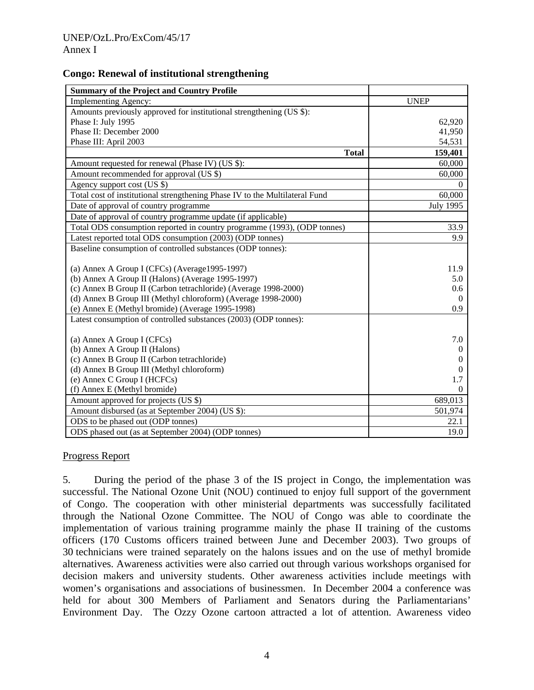#### **Congo: Renewal of institutional strengthening**

| <b>Summary of the Project and Country Profile</b>                           |                      |
|-----------------------------------------------------------------------------|----------------------|
| <b>Implementing Agency:</b>                                                 | <b>UNEP</b>          |
| Amounts previously approved for institutional strengthening (US \$):        |                      |
| Phase I: July 1995                                                          | 62,920               |
| Phase II: December 2000                                                     | 41,950               |
| Phase III: April 2003                                                       | 54,531               |
| <b>Total</b>                                                                | 159,401              |
| Amount requested for renewal (Phase IV) (US \$):                            | 60,000               |
| Amount recommended for approval (US \$)                                     | 60,000               |
| Agency support cost (US \$)                                                 | $\Omega$             |
| Total cost of institutional strengthening Phase IV to the Multilateral Fund | 60,000               |
| Date of approval of country programme                                       | <b>July 1995</b>     |
| Date of approval of country programme update (if applicable)                |                      |
| Total ODS consumption reported in country programme (1993), (ODP tonnes)    | 33.9                 |
| Latest reported total ODS consumption (2003) (ODP tonnes)                   | 9.9                  |
| Baseline consumption of controlled substances (ODP tonnes):                 |                      |
|                                                                             |                      |
| (a) Annex A Group I (CFCs) (Average 1995-1997)                              | 11.9                 |
| (b) Annex A Group II (Halons) (Average 1995-1997)                           | 5.0                  |
| (c) Annex B Group II (Carbon tetrachloride) (Average 1998-2000)             | 0.6                  |
| (d) Annex B Group III (Methyl chloroform) (Average 1998-2000)               | $\Omega$             |
| (e) Annex E (Methyl bromide) (Average 1995-1998)                            | 0.9                  |
| Latest consumption of controlled substances (2003) (ODP tonnes):            |                      |
|                                                                             | 7.0                  |
| (a) Annex A Group I (CFCs)<br>(b) Annex A Group II (Halons)                 |                      |
| (c) Annex B Group II (Carbon tetrachloride)                                 | $\theta$<br>$\theta$ |
| (d) Annex B Group III (Methyl chloroform)                                   | $\theta$             |
| (e) Annex C Group I (HCFCs)                                                 | 1.7                  |
|                                                                             | $\Omega$             |
| (f) Annex E (Methyl bromide)                                                |                      |
| Amount approved for projects (US \$)                                        | 689,013              |
| Amount disbursed (as at September 2004) (US \$):                            | 501,974              |
| ODS to be phased out (ODP tonnes)                                           | 22.1                 |
| ODS phased out (as at September 2004) (ODP tonnes)                          | 19.0                 |

#### Progress Report

5. During the period of the phase 3 of the IS project in Congo, the implementation was successful. The National Ozone Unit (NOU) continued to enjoy full support of the government of Congo. The cooperation with other ministerial departments was successfully facilitated through the National Ozone Committee. The NOU of Congo was able to coordinate the implementation of various training programme mainly the phase II training of the customs officers (170 Customs officers trained between June and December 2003). Two groups of 30 technicians were trained separately on the halons issues and on the use of methyl bromide alternatives. Awareness activities were also carried out through various workshops organised for decision makers and university students. Other awareness activities include meetings with women's organisations and associations of businessmen. In December 2004 a conference was held for about 300 Members of Parliament and Senators during the Parliamentarians' Environment Day. The Ozzy Ozone cartoon attracted a lot of attention. Awareness video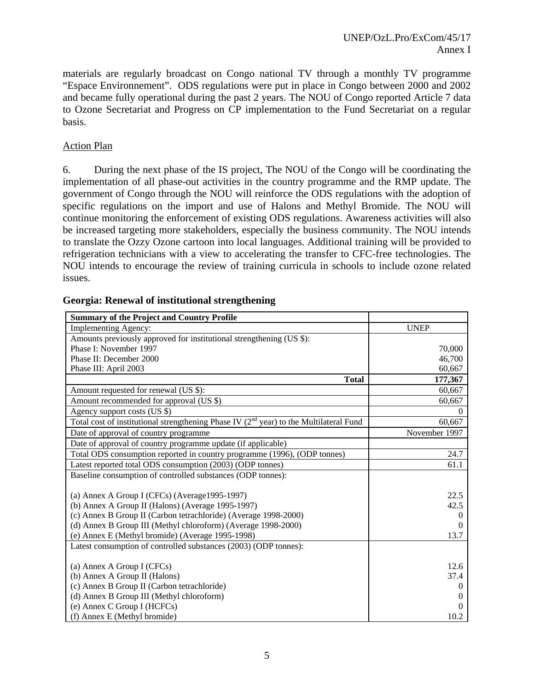materials are regularly broadcast on Congo national TV through a monthly TV programme "Espace Environnement". ODS regulations were put in place in Congo between 2000 and 2002 and became fully operational during the past 2 years. The NOU of Congo reported Article 7 data to Ozone Secretariat and Progress on CP implementation to the Fund Secretariat on a regular basis.

## Action Plan

6. During the next phase of the IS project, The NOU of the Congo will be coordinating the implementation of all phase-out activities in the country programme and the RMP update. The government of Congo through the NOU will reinforce the ODS regulations with the adoption of specific regulations on the import and use of Halons and Methyl Bromide. The NOU will continue monitoring the enforcement of existing ODS regulations. Awareness activities will also be increased targeting more stakeholders, especially the business community. The NOU intends to translate the Ozzy Ozone cartoon into local languages. Additional training will be provided to refrigeration technicians with a view to accelerating the transfer to CFC-free technologies. The NOU intends to encourage the review of training curricula in schools to include ozone related issues.

| <b>Summary of the Project and Country Profile</b>                                           |               |
|---------------------------------------------------------------------------------------------|---------------|
| <b>Implementing Agency:</b>                                                                 | <b>UNEP</b>   |
| Amounts previously approved for institutional strengthening (US \$):                        |               |
| Phase I: November 1997                                                                      | 70,000        |
| Phase II: December 2000                                                                     | 46,700        |
| Phase III: April 2003                                                                       | 60,667        |
| <b>Total</b>                                                                                | 177,367       |
| Amount requested for renewal (US \$):                                                       | 60,667        |
| Amount recommended for approval (US \$)                                                     | 60,667        |
| Agency support costs (US \$)                                                                | $\Omega$      |
| Total cost of institutional strengthening Phase IV $(2^{nd}$ year) to the Multilateral Fund | 60,667        |
| Date of approval of country programme                                                       | November 1997 |
| Date of approval of country programme update (if applicable)                                |               |
| Total ODS consumption reported in country programme (1996), (ODP tonnes)                    | 24.7          |
| Latest reported total ODS consumption (2003) (ODP tonnes)                                   | 61.1          |
| Baseline consumption of controlled substances (ODP tonnes):                                 |               |
|                                                                                             |               |
| (a) Annex A Group I (CFCs) (Average 1995-1997)                                              | 22.5          |
| (b) Annex A Group II (Halons) (Average 1995-1997)                                           | 42.5          |
| (c) Annex B Group II (Carbon tetrachloride) (Average 1998-2000)                             | $\Omega$      |
| (d) Annex B Group III (Methyl chloroform) (Average 1998-2000)                               |               |
| (e) Annex E (Methyl bromide) (Average 1995-1998)                                            | 13.7          |
| Latest consumption of controlled substances (2003) (ODP tonnes):                            |               |
|                                                                                             |               |
| (a) Annex A Group I (CFCs)                                                                  | 12.6          |
| (b) Annex A Group II (Halons)                                                               | 37.4          |
| (c) Annex B Group II (Carbon tetrachloride)                                                 | $\theta$      |
| (d) Annex B Group III (Methyl chloroform)                                                   | $\Omega$      |
| (e) Annex C Group I (HCFCs)                                                                 | $\Omega$      |
| (f) Annex E (Methyl bromide)                                                                | 10.2          |

#### **Georgia: Renewal of institutional strengthening**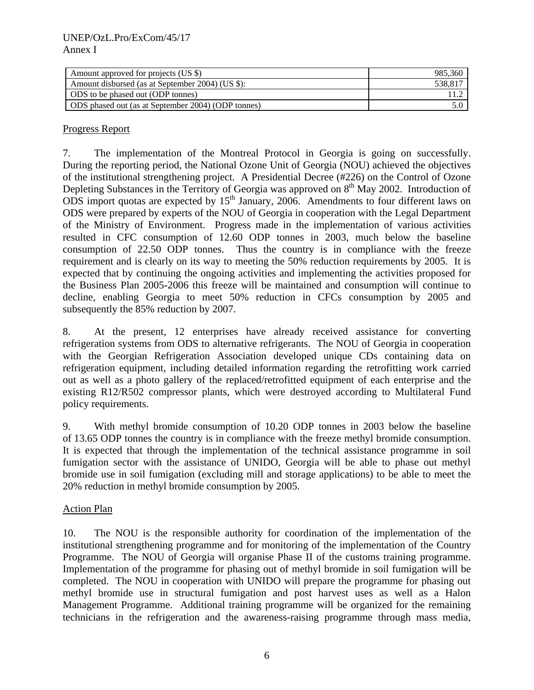| Amount approved for projects (US \$)               | 985,360 |
|----------------------------------------------------|---------|
| Amount disbursed (as at September 2004) (US \$):   | 538,81  |
| ODS to be phased out (ODP tonnes)                  |         |
| ODS phased out (as at September 2004) (ODP tonnes) |         |

## Progress Report

7. The implementation of the Montreal Protocol in Georgia is going on successfully. During the reporting period, the National Ozone Unit of Georgia (NOU) achieved the objectives of the institutional strengthening project. A Presidential Decree (#226) on the Control of Ozone Depleting Substances in the Territory of Georgia was approved on 8<sup>th</sup> May 2002. Introduction of ODS import quotas are expected by  $15<sup>th</sup>$  January, 2006. Amendments to four different laws on ODS were prepared by experts of the NOU of Georgia in cooperation with the Legal Department of the Ministry of Environment. Progress made in the implementation of various activities resulted in CFC consumption of 12.60 ODP tonnes in 2003, much below the baseline consumption of 22.50 ODP tonnes. Thus the country is in compliance with the freeze requirement and is clearly on its way to meeting the 50% reduction requirements by 2005. It is expected that by continuing the ongoing activities and implementing the activities proposed for the Business Plan 2005-2006 this freeze will be maintained and consumption will continue to decline, enabling Georgia to meet 50% reduction in CFCs consumption by 2005 and subsequently the 85% reduction by 2007.

8. At the present, 12 enterprises have already received assistance for converting refrigeration systems from ODS to alternative refrigerants. The NOU of Georgia in cooperation with the Georgian Refrigeration Association developed unique CDs containing data on refrigeration equipment, including detailed information regarding the retrofitting work carried out as well as a photo gallery of the replaced/retrofitted equipment of each enterprise and the existing R12/R502 compressor plants, which were destroyed according to Multilateral Fund policy requirements.

9. With methyl bromide consumption of 10.20 ODP tonnes in 2003 below the baseline of 13.65 ODP tonnes the country is in compliance with the freeze methyl bromide consumption. It is expected that through the implementation of the technical assistance programme in soil fumigation sector with the assistance of UNIDO, Georgia will be able to phase out methyl bromide use in soil fumigation (excluding mill and storage applications) to be able to meet the 20% reduction in methyl bromide consumption by 2005.

#### Action Plan

10. The NOU is the responsible authority for coordination of the implementation of the institutional strengthening programme and for monitoring of the implementation of the Country Programme. The NOU of Georgia will organise Phase II of the customs training programme. Implementation of the programme for phasing out of methyl bromide in soil fumigation will be completed. The NOU in cooperation with UNIDO will prepare the programme for phasing out methyl bromide use in structural fumigation and post harvest uses as well as a Halon Management Programme. Additional training programme will be organized for the remaining technicians in the refrigeration and the awareness-raising programme through mass media,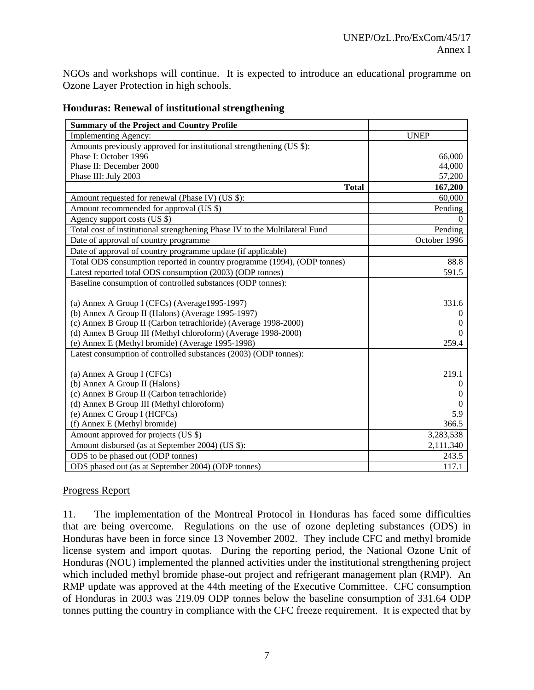NGOs and workshops will continue. It is expected to introduce an educational programme on Ozone Layer Protection in high schools.

| <b>Summary of the Project and Country Profile</b>                           |              |
|-----------------------------------------------------------------------------|--------------|
| <b>Implementing Agency:</b>                                                 | <b>UNEP</b>  |
| Amounts previously approved for institutional strengthening (US \$):        |              |
| Phase I: October 1996                                                       | 66,000       |
| Phase II: December 2000                                                     | 44,000       |
| Phase III: July 2003                                                        | 57,200       |
| <b>Total</b>                                                                | 167,200      |
| Amount requested for renewal (Phase IV) (US \$):                            | 60,000       |
| Amount recommended for approval (US \$)                                     | Pending      |
| Agency support costs (US \$)                                                | $\Omega$     |
| Total cost of institutional strengthening Phase IV to the Multilateral Fund | Pending      |
| Date of approval of country programme                                       | October 1996 |
| Date of approval of country programme update (if applicable)                |              |
| Total ODS consumption reported in country programme (1994), (ODP tonnes)    | 88.8         |
| Latest reported total ODS consumption (2003) (ODP tonnes)                   | 591.5        |
| Baseline consumption of controlled substances (ODP tonnes):                 |              |
|                                                                             |              |
| (a) Annex A Group I (CFCs) (Average1995-1997)                               | 331.6        |
| (b) Annex A Group II (Halons) (Average 1995-1997)                           |              |
| (c) Annex B Group II (Carbon tetrachloride) (Average 1998-2000)             |              |
| (d) Annex B Group III (Methyl chloroform) (Average 1998-2000)               |              |
| (e) Annex E (Methyl bromide) (Average 1995-1998)                            | 259.4        |
| Latest consumption of controlled substances (2003) (ODP tonnes):            |              |
| (a) Annex A Group I (CFCs)                                                  | 219.1        |
| (b) Annex A Group II (Halons)                                               | $\theta$     |
| (c) Annex B Group II (Carbon tetrachloride)                                 |              |
| (d) Annex B Group III (Methyl chloroform)                                   | $\theta$     |
| (e) Annex C Group I (HCFCs)                                                 | 5.9          |
| (f) Annex E (Methyl bromide)                                                | 366.5        |
| Amount approved for projects (US \$)                                        | 3,283,538    |
| Amount disbursed (as at September 2004) (US \$):                            | 2,111,340    |
| ODS to be phased out (ODP tonnes)                                           | 243.5        |
| ODS phased out (as at September 2004) (ODP tonnes)                          | 117.1        |

**Honduras: Renewal of institutional strengthening** 

## Progress Report

11. The implementation of the Montreal Protocol in Honduras has faced some difficulties that are being overcome. Regulations on the use of ozone depleting substances (ODS) in Honduras have been in force since 13 November 2002. They include CFC and methyl bromide license system and import quotas. During the reporting period, the National Ozone Unit of Honduras (NOU) implemented the planned activities under the institutional strengthening project which included methyl bromide phase-out project and refrigerant management plan (RMP). An RMP update was approved at the 44th meeting of the Executive Committee. CFC consumption of Honduras in 2003 was 219.09 ODP tonnes below the baseline consumption of 331.64 ODP tonnes putting the country in compliance with the CFC freeze requirement. It is expected that by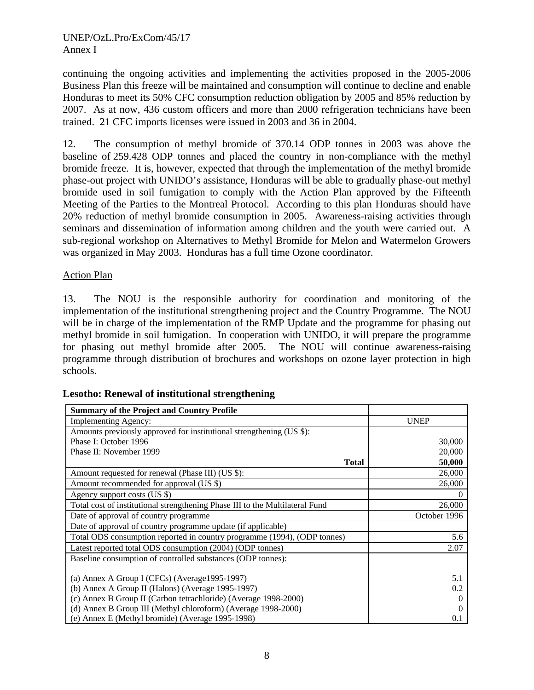continuing the ongoing activities and implementing the activities proposed in the 2005-2006 Business Plan this freeze will be maintained and consumption will continue to decline and enable Honduras to meet its 50% CFC consumption reduction obligation by 2005 and 85% reduction by 2007. As at now, 436 custom officers and more than 2000 refrigeration technicians have been trained. 21 CFC imports licenses were issued in 2003 and 36 in 2004.

12. The consumption of methyl bromide of 370.14 ODP tonnes in 2003 was above the baseline of 259.428 ODP tonnes and placed the country in non-compliance with the methyl bromide freeze. It is, however, expected that through the implementation of the methyl bromide phase-out project with UNIDO's assistance, Honduras will be able to gradually phase-out methyl bromide used in soil fumigation to comply with the Action Plan approved by the Fifteenth Meeting of the Parties to the Montreal Protocol. According to this plan Honduras should have 20% reduction of methyl bromide consumption in 2005. Awareness-raising activities through seminars and dissemination of information among children and the youth were carried out. A sub-regional workshop on Alternatives to Methyl Bromide for Melon and Watermelon Growers was organized in May 2003. Honduras has a full time Ozone coordinator.

## Action Plan

13. The NOU is the responsible authority for coordination and monitoring of the implementation of the institutional strengthening project and the Country Programme. The NOU will be in charge of the implementation of the RMP Update and the programme for phasing out methyl bromide in soil fumigation. In cooperation with UNIDO, it will prepare the programme for phasing out methyl bromide after 2005. The NOU will continue awareness-raising programme through distribution of brochures and workshops on ozone layer protection in high schools.

| <b>Summary of the Project and Country Profile</b>                            |              |
|------------------------------------------------------------------------------|--------------|
| <b>Implementing Agency:</b>                                                  | <b>UNEP</b>  |
| Amounts previously approved for institutional strengthening (US \$):         |              |
| Phase I: October 1996                                                        | 30,000       |
| Phase II: November 1999                                                      | 20,000       |
| <b>Total</b>                                                                 | 50,000       |
| Amount requested for renewal (Phase III) (US \$):                            | 26,000       |
| Amount recommended for approval (US \$)                                      | 26,000       |
| Agency support costs (US \$)                                                 | $\Omega$     |
| Total cost of institutional strengthening Phase III to the Multilateral Fund | 26,000       |
| Date of approval of country programme                                        | October 1996 |
| Date of approval of country programme update (if applicable)                 |              |
| Total ODS consumption reported in country programme (1994), (ODP tonnes)     | 5.6          |
| Latest reported total ODS consumption (2004) (ODP tonnes)                    | 2.07         |
| Baseline consumption of controlled substances (ODP tonnes):                  |              |
|                                                                              |              |
| (a) Annex A Group I (CFCs) (Average 1995-1997)                               | 5.1          |
| (b) Annex A Group II (Halons) (Average 1995-1997)                            | 0.2          |
| (c) Annex B Group II (Carbon tetrachloride) (Average 1998-2000)              | $\Omega$     |
| (d) Annex B Group III (Methyl chloroform) (Average 1998-2000)                |              |
| (e) Annex E (Methyl bromide) (Average 1995-1998)                             | 0.1          |

## **Lesotho: Renewal of institutional strengthening**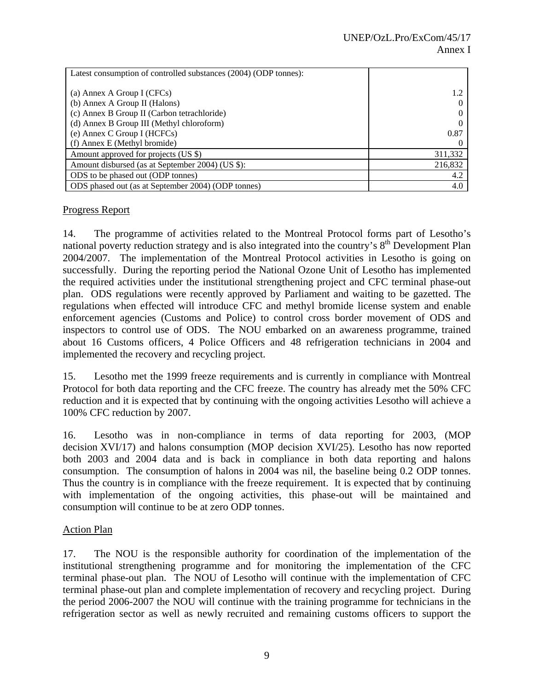| Latest consumption of controlled substances (2004) (ODP tonnes): |         |
|------------------------------------------------------------------|---------|
|                                                                  |         |
| (a) Annex A Group I (CFCs)                                       | 1.2     |
| (b) Annex A Group II (Halons)                                    |         |
| (c) Annex B Group II (Carbon tetrachloride)                      |         |
| (d) Annex B Group III (Methyl chloroform)                        |         |
| (e) Annex C Group I (HCFCs)                                      | 0.87    |
| (f) Annex E (Methyl bromide)                                     |         |
| Amount approved for projects (US \$)                             | 311,332 |
| Amount disbursed (as at September 2004) (US \$):                 | 216,832 |
| ODS to be phased out (ODP tonnes)                                | 4.2     |
| ODS phased out (as at September 2004) (ODP tonnes)               | 4.0     |

## Progress Report

14. The programme of activities related to the Montreal Protocol forms part of Lesotho's national poverty reduction strategy and is also integrated into the country's  $8<sup>th</sup>$  Development Plan 2004/2007. The implementation of the Montreal Protocol activities in Lesotho is going on successfully. During the reporting period the National Ozone Unit of Lesotho has implemented the required activities under the institutional strengthening project and CFC terminal phase-out plan. ODS regulations were recently approved by Parliament and waiting to be gazetted. The regulations when effected will introduce CFC and methyl bromide license system and enable enforcement agencies (Customs and Police) to control cross border movement of ODS and inspectors to control use of ODS. The NOU embarked on an awareness programme, trained about 16 Customs officers, 4 Police Officers and 48 refrigeration technicians in 2004 and implemented the recovery and recycling project.

15. Lesotho met the 1999 freeze requirements and is currently in compliance with Montreal Protocol for both data reporting and the CFC freeze. The country has already met the 50% CFC reduction and it is expected that by continuing with the ongoing activities Lesotho will achieve a 100% CFC reduction by 2007.

16. Lesotho was in non-compliance in terms of data reporting for 2003, (MOP decision XVI/17) and halons consumption (MOP decision XVI/25). Lesotho has now reported both 2003 and 2004 data and is back in compliance in both data reporting and halons consumption. The consumption of halons in 2004 was nil, the baseline being 0.2 ODP tonnes. Thus the country is in compliance with the freeze requirement. It is expected that by continuing with implementation of the ongoing activities, this phase-out will be maintained and consumption will continue to be at zero ODP tonnes.

## Action Plan

17. The NOU is the responsible authority for coordination of the implementation of the institutional strengthening programme and for monitoring the implementation of the CFC terminal phase-out plan. The NOU of Lesotho will continue with the implementation of CFC terminal phase-out plan and complete implementation of recovery and recycling project. During the period 2006-2007 the NOU will continue with the training programme for technicians in the refrigeration sector as well as newly recruited and remaining customs officers to support the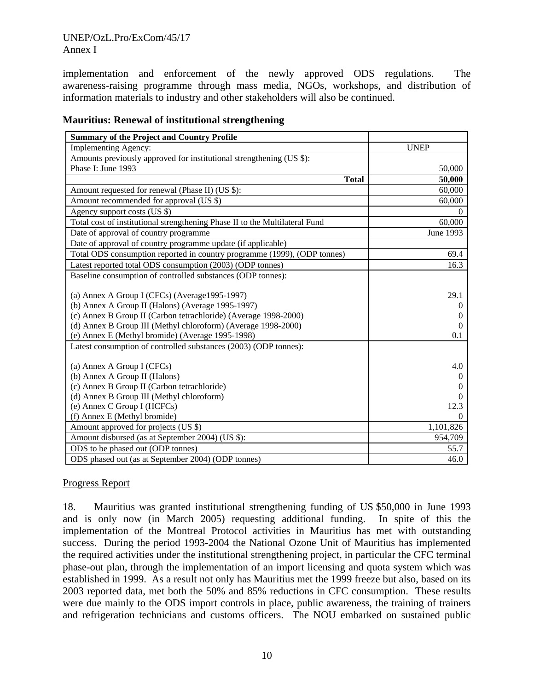## UNEP/OzL.Pro/ExCom/45/17 Annex I

implementation and enforcement of the newly approved ODS regulations. The awareness-raising programme through mass media, NGOs, workshops, and distribution of information materials to industry and other stakeholders will also be continued.

| Implementing Agency:<br><b>UNEP</b><br>Amounts previously approved for institutional strengthening (US \$):<br>Phase I: June 1993<br>50,000<br>50,000<br><b>Total</b><br>Amount requested for renewal (Phase II) (US \$):<br>60,000<br>Amount recommended for approval (US \$)<br>60,000<br>Agency support costs (US \$)<br>0<br>Total cost of institutional strengthening Phase II to the Multilateral Fund<br>60,000<br>Date of approval of country programme<br>June 1993<br>Date of approval of country programme update (if applicable)<br>Total ODS consumption reported in country programme (1999), (ODP tonnes)<br>69.4<br>Latest reported total ODS consumption (2003) (ODP tonnes)<br>16.3<br>Baseline consumption of controlled substances (ODP tonnes):<br>(a) Annex A Group I (CFCs) (Average 1995-1997)<br>29.1<br>(b) Annex A Group II (Halons) (Average 1995-1997)<br>$\theta$<br>(c) Annex B Group II (Carbon tetrachloride) (Average 1998-2000)<br>$\theta$<br>(d) Annex B Group III (Methyl chloroform) (Average 1998-2000)<br>$\Omega$<br>(e) Annex E (Methyl bromide) (Average 1995-1998)<br>0.1 |
|------------------------------------------------------------------------------------------------------------------------------------------------------------------------------------------------------------------------------------------------------------------------------------------------------------------------------------------------------------------------------------------------------------------------------------------------------------------------------------------------------------------------------------------------------------------------------------------------------------------------------------------------------------------------------------------------------------------------------------------------------------------------------------------------------------------------------------------------------------------------------------------------------------------------------------------------------------------------------------------------------------------------------------------------------------------------------------------------------------------------|
|                                                                                                                                                                                                                                                                                                                                                                                                                                                                                                                                                                                                                                                                                                                                                                                                                                                                                                                                                                                                                                                                                                                        |
|                                                                                                                                                                                                                                                                                                                                                                                                                                                                                                                                                                                                                                                                                                                                                                                                                                                                                                                                                                                                                                                                                                                        |
|                                                                                                                                                                                                                                                                                                                                                                                                                                                                                                                                                                                                                                                                                                                                                                                                                                                                                                                                                                                                                                                                                                                        |
|                                                                                                                                                                                                                                                                                                                                                                                                                                                                                                                                                                                                                                                                                                                                                                                                                                                                                                                                                                                                                                                                                                                        |
|                                                                                                                                                                                                                                                                                                                                                                                                                                                                                                                                                                                                                                                                                                                                                                                                                                                                                                                                                                                                                                                                                                                        |
|                                                                                                                                                                                                                                                                                                                                                                                                                                                                                                                                                                                                                                                                                                                                                                                                                                                                                                                                                                                                                                                                                                                        |
|                                                                                                                                                                                                                                                                                                                                                                                                                                                                                                                                                                                                                                                                                                                                                                                                                                                                                                                                                                                                                                                                                                                        |
|                                                                                                                                                                                                                                                                                                                                                                                                                                                                                                                                                                                                                                                                                                                                                                                                                                                                                                                                                                                                                                                                                                                        |
|                                                                                                                                                                                                                                                                                                                                                                                                                                                                                                                                                                                                                                                                                                                                                                                                                                                                                                                                                                                                                                                                                                                        |
|                                                                                                                                                                                                                                                                                                                                                                                                                                                                                                                                                                                                                                                                                                                                                                                                                                                                                                                                                                                                                                                                                                                        |
|                                                                                                                                                                                                                                                                                                                                                                                                                                                                                                                                                                                                                                                                                                                                                                                                                                                                                                                                                                                                                                                                                                                        |
|                                                                                                                                                                                                                                                                                                                                                                                                                                                                                                                                                                                                                                                                                                                                                                                                                                                                                                                                                                                                                                                                                                                        |
|                                                                                                                                                                                                                                                                                                                                                                                                                                                                                                                                                                                                                                                                                                                                                                                                                                                                                                                                                                                                                                                                                                                        |
|                                                                                                                                                                                                                                                                                                                                                                                                                                                                                                                                                                                                                                                                                                                                                                                                                                                                                                                                                                                                                                                                                                                        |
|                                                                                                                                                                                                                                                                                                                                                                                                                                                                                                                                                                                                                                                                                                                                                                                                                                                                                                                                                                                                                                                                                                                        |
|                                                                                                                                                                                                                                                                                                                                                                                                                                                                                                                                                                                                                                                                                                                                                                                                                                                                                                                                                                                                                                                                                                                        |
|                                                                                                                                                                                                                                                                                                                                                                                                                                                                                                                                                                                                                                                                                                                                                                                                                                                                                                                                                                                                                                                                                                                        |
|                                                                                                                                                                                                                                                                                                                                                                                                                                                                                                                                                                                                                                                                                                                                                                                                                                                                                                                                                                                                                                                                                                                        |
|                                                                                                                                                                                                                                                                                                                                                                                                                                                                                                                                                                                                                                                                                                                                                                                                                                                                                                                                                                                                                                                                                                                        |
| Latest consumption of controlled substances (2003) (ODP tonnes):                                                                                                                                                                                                                                                                                                                                                                                                                                                                                                                                                                                                                                                                                                                                                                                                                                                                                                                                                                                                                                                       |
| 4.0<br>(a) Annex A Group I (CFCs)                                                                                                                                                                                                                                                                                                                                                                                                                                                                                                                                                                                                                                                                                                                                                                                                                                                                                                                                                                                                                                                                                      |
| (b) Annex A Group II (Halons)<br>$\Omega$                                                                                                                                                                                                                                                                                                                                                                                                                                                                                                                                                                                                                                                                                                                                                                                                                                                                                                                                                                                                                                                                              |
| (c) Annex B Group II (Carbon tetrachloride)                                                                                                                                                                                                                                                                                                                                                                                                                                                                                                                                                                                                                                                                                                                                                                                                                                                                                                                                                                                                                                                                            |
| (d) Annex B Group III (Methyl chloroform)<br>$\Omega$                                                                                                                                                                                                                                                                                                                                                                                                                                                                                                                                                                                                                                                                                                                                                                                                                                                                                                                                                                                                                                                                  |
| (e) Annex C Group I (HCFCs)<br>12.3                                                                                                                                                                                                                                                                                                                                                                                                                                                                                                                                                                                                                                                                                                                                                                                                                                                                                                                                                                                                                                                                                    |
| (f) Annex E (Methyl bromide)<br>0                                                                                                                                                                                                                                                                                                                                                                                                                                                                                                                                                                                                                                                                                                                                                                                                                                                                                                                                                                                                                                                                                      |
| Amount approved for projects (US \$)<br>1,101,826                                                                                                                                                                                                                                                                                                                                                                                                                                                                                                                                                                                                                                                                                                                                                                                                                                                                                                                                                                                                                                                                      |
| Amount disbursed (as at September 2004) (US \$):<br>954,709                                                                                                                                                                                                                                                                                                                                                                                                                                                                                                                                                                                                                                                                                                                                                                                                                                                                                                                                                                                                                                                            |
| ODS to be phased out (ODP tonnes)<br>55.7                                                                                                                                                                                                                                                                                                                                                                                                                                                                                                                                                                                                                                                                                                                                                                                                                                                                                                                                                                                                                                                                              |
| ODS phased out (as at September 2004) (ODP tonnes)<br>46.0                                                                                                                                                                                                                                                                                                                                                                                                                                                                                                                                                                                                                                                                                                                                                                                                                                                                                                                                                                                                                                                             |

## **Mauritius: Renewal of institutional strengthening**

## Progress Report

18. Mauritius was granted institutional strengthening funding of US \$50,000 in June 1993 and is only now (in March 2005) requesting additional funding. In spite of this the implementation of the Montreal Protocol activities in Mauritius has met with outstanding success. During the period 1993-2004 the National Ozone Unit of Mauritius has implemented the required activities under the institutional strengthening project, in particular the CFC terminal phase-out plan, through the implementation of an import licensing and quota system which was established in 1999. As a result not only has Mauritius met the 1999 freeze but also, based on its 2003 reported data, met both the 50% and 85% reductions in CFC consumption. These results were due mainly to the ODS import controls in place, public awareness, the training of trainers and refrigeration technicians and customs officers. The NOU embarked on sustained public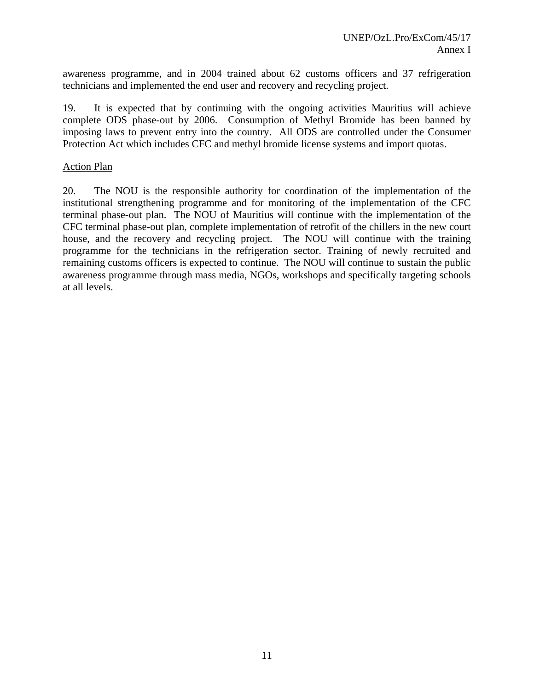awareness programme, and in 2004 trained about 62 customs officers and 37 refrigeration technicians and implemented the end user and recovery and recycling project.

19. It is expected that by continuing with the ongoing activities Mauritius will achieve complete ODS phase-out by 2006. Consumption of Methyl Bromide has been banned by imposing laws to prevent entry into the country. All ODS are controlled under the Consumer Protection Act which includes CFC and methyl bromide license systems and import quotas.

#### Action Plan

20. The NOU is the responsible authority for coordination of the implementation of the institutional strengthening programme and for monitoring of the implementation of the CFC terminal phase-out plan. The NOU of Mauritius will continue with the implementation of the CFC terminal phase-out plan, complete implementation of retrofit of the chillers in the new court house, and the recovery and recycling project. The NOU will continue with the training programme for the technicians in the refrigeration sector. Training of newly recruited and remaining customs officers is expected to continue. The NOU will continue to sustain the public awareness programme through mass media, NGOs, workshops and specifically targeting schools at all levels.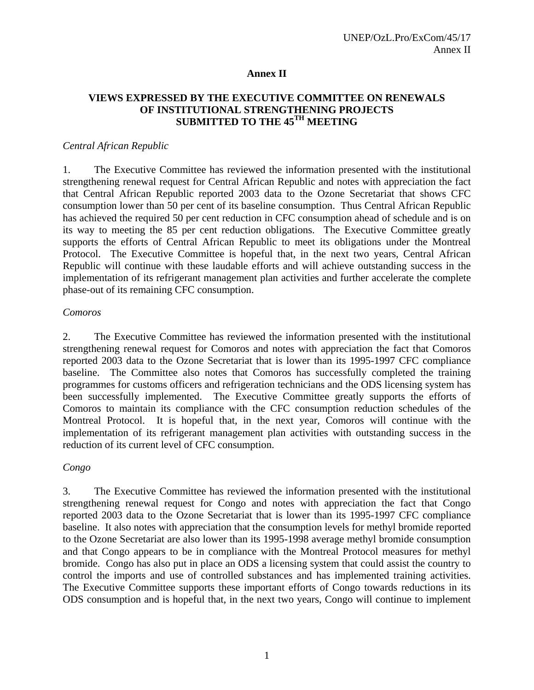#### **Annex II**

## **VIEWS EXPRESSED BY THE EXECUTIVE COMMITTEE ON RENEWALS OF INSTITUTIONAL STRENGTHENING PROJECTS SUBMITTED TO THE 45TH MEETING**

#### *Central African Republic*

1. The Executive Committee has reviewed the information presented with the institutional strengthening renewal request for Central African Republic and notes with appreciation the fact that Central African Republic reported 2003 data to the Ozone Secretariat that shows CFC consumption lower than 50 per cent of its baseline consumption. Thus Central African Republic has achieved the required 50 per cent reduction in CFC consumption ahead of schedule and is on its way to meeting the 85 per cent reduction obligations. The Executive Committee greatly supports the efforts of Central African Republic to meet its obligations under the Montreal Protocol. The Executive Committee is hopeful that, in the next two years, Central African Republic will continue with these laudable efforts and will achieve outstanding success in the implementation of its refrigerant management plan activities and further accelerate the complete phase-out of its remaining CFC consumption.

#### *Comoros*

2. The Executive Committee has reviewed the information presented with the institutional strengthening renewal request for Comoros and notes with appreciation the fact that Comoros reported 2003 data to the Ozone Secretariat that is lower than its 1995-1997 CFC compliance baseline. The Committee also notes that Comoros has successfully completed the training programmes for customs officers and refrigeration technicians and the ODS licensing system has been successfully implemented. The Executive Committee greatly supports the efforts of Comoros to maintain its compliance with the CFC consumption reduction schedules of the Montreal Protocol. It is hopeful that, in the next year, Comoros will continue with the implementation of its refrigerant management plan activities with outstanding success in the reduction of its current level of CFC consumption.

#### *Congo*

3. The Executive Committee has reviewed the information presented with the institutional strengthening renewal request for Congo and notes with appreciation the fact that Congo reported 2003 data to the Ozone Secretariat that is lower than its 1995-1997 CFC compliance baseline. It also notes with appreciation that the consumption levels for methyl bromide reported to the Ozone Secretariat are also lower than its 1995-1998 average methyl bromide consumption and that Congo appears to be in compliance with the Montreal Protocol measures for methyl bromide. Congo has also put in place an ODS a licensing system that could assist the country to control the imports and use of controlled substances and has implemented training activities. The Executive Committee supports these important efforts of Congo towards reductions in its ODS consumption and is hopeful that, in the next two years, Congo will continue to implement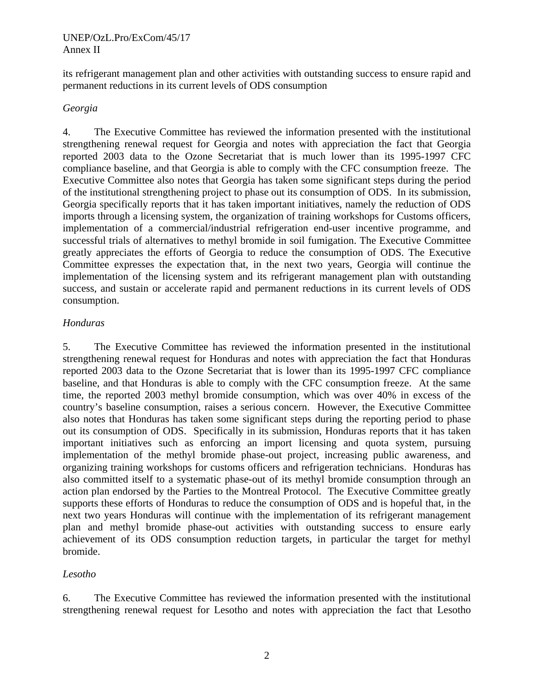#### UNEP/OzL.Pro/ExCom/45/17 Annex II

its refrigerant management plan and other activities with outstanding success to ensure rapid and permanent reductions in its current levels of ODS consumption

#### *Georgia*

4. The Executive Committee has reviewed the information presented with the institutional strengthening renewal request for Georgia and notes with appreciation the fact that Georgia reported 2003 data to the Ozone Secretariat that is much lower than its 1995-1997 CFC compliance baseline, and that Georgia is able to comply with the CFC consumption freeze. The Executive Committee also notes that Georgia has taken some significant steps during the period of the institutional strengthening project to phase out its consumption of ODS. In its submission, Georgia specifically reports that it has taken important initiatives, namely the reduction of ODS imports through a licensing system, the organization of training workshops for Customs officers, implementation of a commercial/industrial refrigeration end-user incentive programme, and successful trials of alternatives to methyl bromide in soil fumigation. The Executive Committee greatly appreciates the efforts of Georgia to reduce the consumption of ODS. The Executive Committee expresses the expectation that, in the next two years, Georgia will continue the implementation of the licensing system and its refrigerant management plan with outstanding success, and sustain or accelerate rapid and permanent reductions in its current levels of ODS consumption.

## *Honduras*

5. The Executive Committee has reviewed the information presented in the institutional strengthening renewal request for Honduras and notes with appreciation the fact that Honduras reported 2003 data to the Ozone Secretariat that is lower than its 1995-1997 CFC compliance baseline, and that Honduras is able to comply with the CFC consumption freeze. At the same time, the reported 2003 methyl bromide consumption, which was over 40% in excess of the country's baseline consumption, raises a serious concern. However, the Executive Committee also notes that Honduras has taken some significant steps during the reporting period to phase out its consumption of ODS. Specifically in its submission, Honduras reports that it has taken important initiatives such as enforcing an import licensing and quota system, pursuing implementation of the methyl bromide phase-out project, increasing public awareness, and organizing training workshops for customs officers and refrigeration technicians. Honduras has also committed itself to a systematic phase-out of its methyl bromide consumption through an action plan endorsed by the Parties to the Montreal Protocol. The Executive Committee greatly supports these efforts of Honduras to reduce the consumption of ODS and is hopeful that, in the next two years Honduras will continue with the implementation of its refrigerant management plan and methyl bromide phase-out activities with outstanding success to ensure early achievement of its ODS consumption reduction targets, in particular the target for methyl bromide.

## *Lesotho*

6. The Executive Committee has reviewed the information presented with the institutional strengthening renewal request for Lesotho and notes with appreciation the fact that Lesotho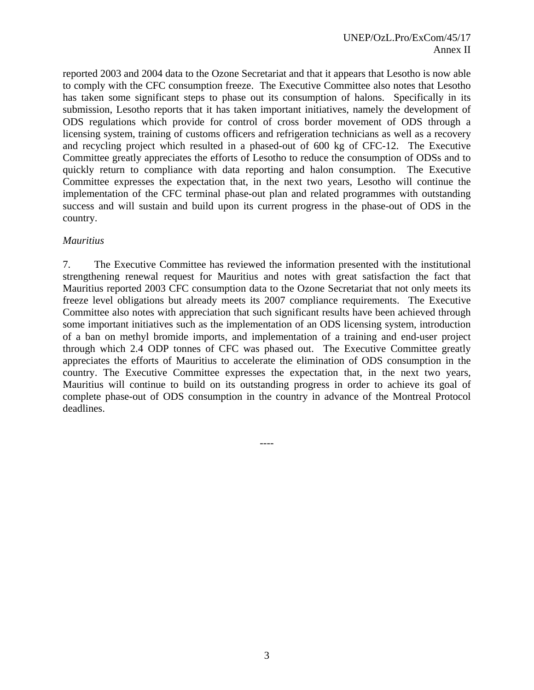reported 2003 and 2004 data to the Ozone Secretariat and that it appears that Lesotho is now able to comply with the CFC consumption freeze. The Executive Committee also notes that Lesotho has taken some significant steps to phase out its consumption of halons. Specifically in its submission, Lesotho reports that it has taken important initiatives, namely the development of ODS regulations which provide for control of cross border movement of ODS through a licensing system, training of customs officers and refrigeration technicians as well as a recovery and recycling project which resulted in a phased-out of 600 kg of CFC-12. The Executive Committee greatly appreciates the efforts of Lesotho to reduce the consumption of ODSs and to quickly return to compliance with data reporting and halon consumption. The Executive Committee expresses the expectation that, in the next two years, Lesotho will continue the implementation of the CFC terminal phase-out plan and related programmes with outstanding success and will sustain and build upon its current progress in the phase-out of ODS in the country.

#### *Mauritius*

7. The Executive Committee has reviewed the information presented with the institutional strengthening renewal request for Mauritius and notes with great satisfaction the fact that Mauritius reported 2003 CFC consumption data to the Ozone Secretariat that not only meets its freeze level obligations but already meets its 2007 compliance requirements. The Executive Committee also notes with appreciation that such significant results have been achieved through some important initiatives such as the implementation of an ODS licensing system, introduction of a ban on methyl bromide imports, and implementation of a training and end-user project through which 2.4 ODP tonnes of CFC was phased out. The Executive Committee greatly appreciates the efforts of Mauritius to accelerate the elimination of ODS consumption in the country. The Executive Committee expresses the expectation that, in the next two years, Mauritius will continue to build on its outstanding progress in order to achieve its goal of complete phase-out of ODS consumption in the country in advance of the Montreal Protocol deadlines.

----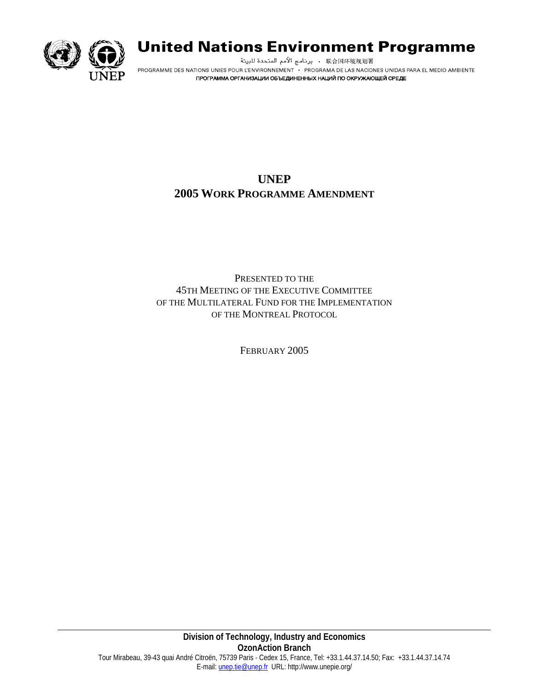

# **United Nations Environment Programme**

برنامج الأمم المتحدة للبيئة . 映合国环境规划署 PROGRAMME DES NATIONS UNIES POUR L'ENVIRONNEMENT · PROGRAMA DE LAS NACIONES UNIDAS PARA EL MEDIO AMBIENTE ПРОГРАММА ОРГАНИЗАЦИИ ОБЪЕДИНЕННЫХ НАЦИЙ ПО ОКРУЖАЮЩЕЙ СРЕДЕ

# **UNEP 2005 WORK PROGRAMME AMENDMENT**

PRESENTED TO THE 45TH MEETING OF THE EXECUTIVE COMMITTEE OF THE MULTILATERAL FUND FOR THE IMPLEMENTATION OF THE MONTREAL PROTOCOL

FEBRUARY 2005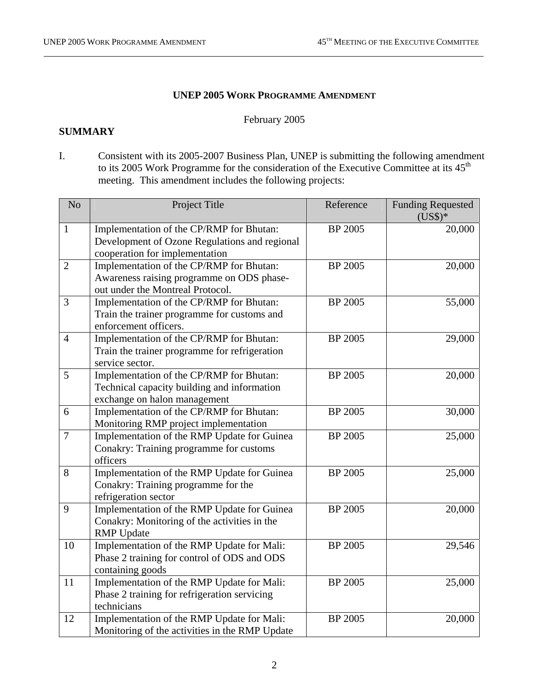#### **UNEP 2005 WORK PROGRAMME AMENDMENT**

#### February 2005

#### **SUMMARY**

I. Consistent with its 2005-2007 Business Plan, UNEP is submitting the following amendment to its 2005 Work Programme for the consideration of the Executive Committee at its 45<sup>th</sup> meeting. This amendment includes the following projects:

| N <sub>o</sub> | Project Title                                                                                                               | Reference      | <b>Funding Requested</b><br>$(US$)*$ |
|----------------|-----------------------------------------------------------------------------------------------------------------------------|----------------|--------------------------------------|
| $\mathbf{1}$   | Implementation of the CP/RMP for Bhutan:<br>Development of Ozone Regulations and regional<br>cooperation for implementation | <b>BP 2005</b> | 20,000                               |
| $\overline{2}$ | Implementation of the CP/RMP for Bhutan:<br>Awareness raising programme on ODS phase-<br>out under the Montreal Protocol.   | BP 2005        | 20,000                               |
| 3              | Implementation of the CP/RMP for Bhutan:<br>Train the trainer programme for customs and<br>enforcement officers.            | <b>BP 2005</b> | 55,000                               |
| $\overline{4}$ | Implementation of the CP/RMP for Bhutan:<br>Train the trainer programme for refrigeration<br>service sector.                | BP 2005        | 29,000                               |
| 5              | Implementation of the CP/RMP for Bhutan:<br>Technical capacity building and information<br>exchange on halon management     | <b>BP 2005</b> | 20,000                               |
| 6              | Implementation of the CP/RMP for Bhutan:<br>Monitoring RMP project implementation                                           | <b>BP 2005</b> | 30,000                               |
| $\overline{7}$ | Implementation of the RMP Update for Guinea<br>Conakry: Training programme for customs<br>officers                          | BP 2005        | 25,000                               |
| 8              | Implementation of the RMP Update for Guinea<br>Conakry: Training programme for the<br>refrigeration sector                  | BP 2005        | 25,000                               |
| 9              | Implementation of the RMP Update for Guinea<br>Conakry: Monitoring of the activities in the<br><b>RMP</b> Update            | <b>BP 2005</b> | 20,000                               |
| 10             | Implementation of the RMP Update for Mali:<br>Phase 2 training for control of ODS and ODS<br>containing goods               | <b>BP 2005</b> | 29,546                               |
| 11             | Implementation of the RMP Update for Mali:<br>Phase 2 training for refrigeration servicing<br>technicians                   | BP 2005        | 25,000                               |
| 12             | Implementation of the RMP Update for Mali:<br>Monitoring of the activities in the RMP Update                                | <b>BP 2005</b> | 20,000                               |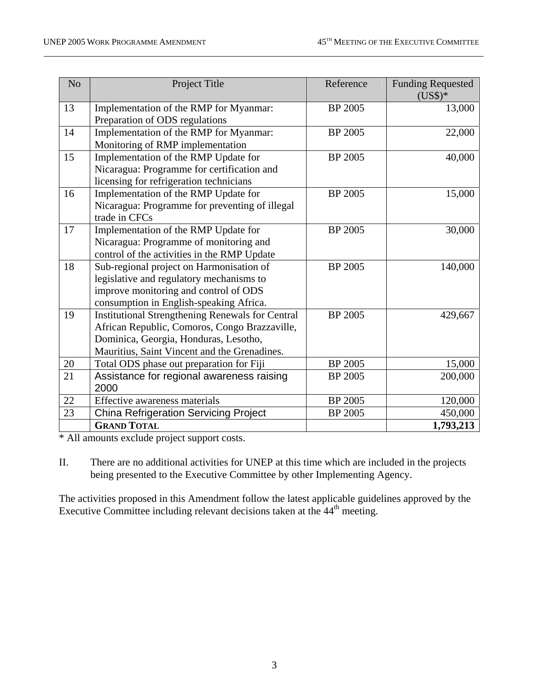| N <sub>o</sub> | Project Title                                           | Reference      | <b>Funding Requested</b><br>$(US$)*$ |
|----------------|---------------------------------------------------------|----------------|--------------------------------------|
| 13             | Implementation of the RMP for Myanmar:                  | <b>BP 2005</b> | 13,000                               |
|                | Preparation of ODS regulations                          |                |                                      |
| 14             | Implementation of the RMP for Myanmar:                  | <b>BP 2005</b> | 22,000                               |
|                | Monitoring of RMP implementation                        |                |                                      |
| 15             | Implementation of the RMP Update for                    | <b>BP 2005</b> | 40,000                               |
|                | Nicaragua: Programme for certification and              |                |                                      |
|                | licensing for refrigeration technicians                 |                |                                      |
| 16             | Implementation of the RMP Update for                    | <b>BP 2005</b> | 15,000                               |
|                | Nicaragua: Programme for preventing of illegal          |                |                                      |
|                | trade in CFCs                                           |                |                                      |
| 17             | Implementation of the RMP Update for                    | <b>BP 2005</b> | 30,000                               |
|                | Nicaragua: Programme of monitoring and                  |                |                                      |
|                | control of the activities in the RMP Update             |                |                                      |
| 18             | Sub-regional project on Harmonisation of                | <b>BP 2005</b> | 140,000                              |
|                | legislative and regulatory mechanisms to                |                |                                      |
|                | improve monitoring and control of ODS                   |                |                                      |
|                | consumption in English-speaking Africa.                 |                |                                      |
| 19             | <b>Institutional Strengthening Renewals for Central</b> | <b>BP 2005</b> | 429,667                              |
|                | African Republic, Comoros, Congo Brazzaville,           |                |                                      |
|                | Dominica, Georgia, Honduras, Lesotho,                   |                |                                      |
|                | Mauritius, Saint Vincent and the Grenadines.            |                |                                      |
| 20             | Total ODS phase out preparation for Fiji                | <b>BP 2005</b> | 15,000                               |
| 21             | Assistance for regional awareness raising               | <b>BP 2005</b> | 200,000                              |
|                | 2000                                                    |                |                                      |
| $22\,$         | Effective awareness materials                           | <b>BP 2005</b> | 120,000                              |
| 23             | <b>China Refrigeration Servicing Project</b>            | <b>BP 2005</b> | 450,000                              |
|                | <b>GRAND TOTAL</b>                                      |                | 1,793,213                            |

\* All amounts exclude project support costs.

II. There are no additional activities for UNEP at this time which are included in the projects being presented to the Executive Committee by other Implementing Agency.

The activities proposed in this Amendment follow the latest applicable guidelines approved by the Executive Committee including relevant decisions taken at the  $44<sup>th</sup>$  meeting.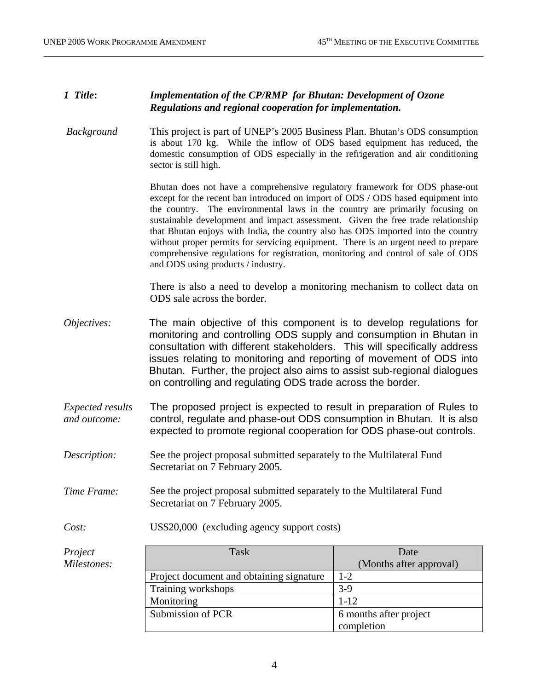## *1 Title***:** *Implementation of the CP/RMP for Bhutan: Development of Ozone Regulations and regional cooperation for implementation.*

 *Background* This project is part of UNEP's 2005 Business Plan. Bhutan's ODS consumption is about 170 kg. While the inflow of ODS based equipment has reduced, the domestic consumption of ODS especially in the refrigeration and air conditioning sector is still high.

> Bhutan does not have a comprehensive regulatory framework for ODS phase-out except for the recent ban introduced on import of ODS / ODS based equipment into the country. The environmental laws in the country are primarily focusing on sustainable development and impact assessment. Given the free trade relationship that Bhutan enjoys with India, the country also has ODS imported into the country without proper permits for servicing equipment. There is an urgent need to prepare comprehensive regulations for registration, monitoring and control of sale of ODS and ODS using products / industry.

> There is also a need to develop a monitoring mechanism to collect data on ODS sale across the border.

- *Objectives:* The main objective of this component is to develop regulations for monitoring and controlling ODS supply and consumption in Bhutan in consultation with different stakeholders. This will specifically address issues relating to monitoring and reporting of movement of ODS into Bhutan. Further, the project also aims to assist sub-regional dialogues on controlling and regulating ODS trade across the border.
- *Expected results and outcome:*  The proposed project is expected to result in preparation of Rules to control, regulate and phase-out ODS consumption in Bhutan. It is also expected to promote regional cooperation for ODS phase-out controls.
- *Description:* See the project proposal submitted separately to the Multilateral Fund Secretariat on 7 February 2005.
- *Time Frame:* See the project proposal submitted separately to the Multilateral Fund Secretariat on 7 February 2005.
- *Cost:* US\$20,000 (excluding agency support costs)

| Project     | Task                                     | Date                    |
|-------------|------------------------------------------|-------------------------|
| Milestones: |                                          | (Months after approval) |
|             | Project document and obtaining signature | $1 - 2$                 |
|             | Training workshops                       | $3-9$                   |
|             | Monitoring                               | $1 - 12$                |
|             | Submission of PCR                        | 6 months after project  |
|             |                                          | completion              |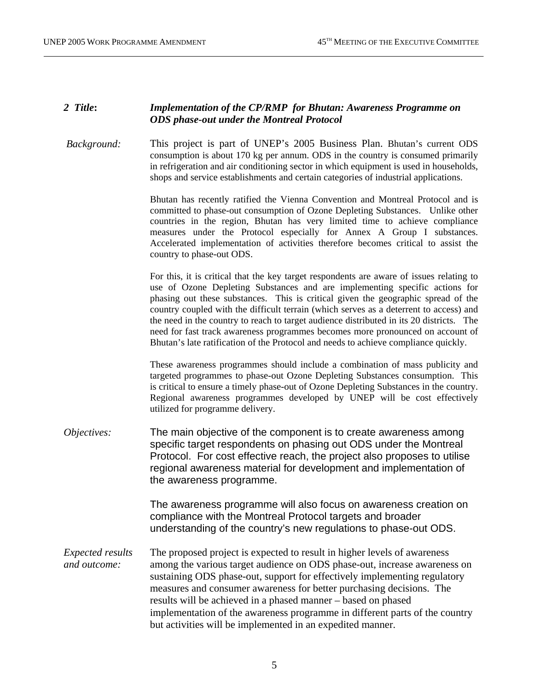## *2 Title***:** *Implementation of the CP/RMP for Bhutan: Awareness Programme on ODS phase-out under the Montreal Protocol*

 *Background:* This project is part of UNEP's 2005 Business Plan. Bhutan's current ODS consumption is about 170 kg per annum. ODS in the country is consumed primarily in refrigeration and air conditioning sector in which equipment is used in households, shops and service establishments and certain categories of industrial applications.

> Bhutan has recently ratified the Vienna Convention and Montreal Protocol and is committed to phase-out consumption of Ozone Depleting Substances. Unlike other countries in the region, Bhutan has very limited time to achieve compliance measures under the Protocol especially for Annex A Group I substances. Accelerated implementation of activities therefore becomes critical to assist the country to phase-out ODS.

> For this, it is critical that the key target respondents are aware of issues relating to use of Ozone Depleting Substances and are implementing specific actions for phasing out these substances. This is critical given the geographic spread of the country coupled with the difficult terrain (which serves as a deterrent to access) and the need in the country to reach to target audience distributed in its 20 districts. The need for fast track awareness programmes becomes more pronounced on account of Bhutan's late ratification of the Protocol and needs to achieve compliance quickly.

> These awareness programmes should include a combination of mass publicity and targeted programmes to phase-out Ozone Depleting Substances consumption. This is critical to ensure a timely phase-out of Ozone Depleting Substances in the country. Regional awareness programmes developed by UNEP will be cost effectively utilized for programme delivery.

*Objectives:* The main objective of the component is to create awareness among specific target respondents on phasing out ODS under the Montreal Protocol. For cost effective reach, the project also proposes to utilise regional awareness material for development and implementation of the awareness programme.

> The awareness programme will also focus on awareness creation on compliance with the Montreal Protocol targets and broader understanding of the country's new regulations to phase-out ODS.

*Expected results and outcome:*  The proposed project is expected to result in higher levels of awareness among the various target audience on ODS phase-out, increase awareness on sustaining ODS phase-out, support for effectively implementing regulatory measures and consumer awareness for better purchasing decisions. The results will be achieved in a phased manner – based on phased implementation of the awareness programme in different parts of the country but activities will be implemented in an expedited manner.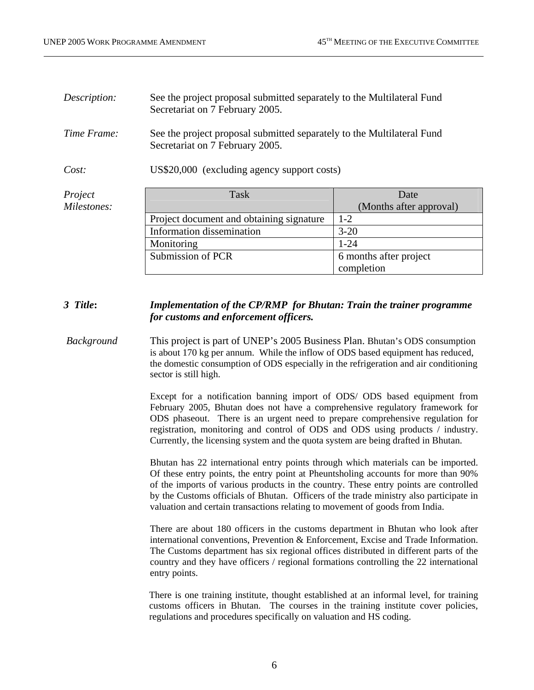| Description: | See the project proposal submitted separately to the Multilateral Fund<br>Secretariat on 7 February 2005. |                         |  |
|--------------|-----------------------------------------------------------------------------------------------------------|-------------------------|--|
| Time Frame:  | See the project proposal submitted separately to the Multilateral Fund<br>Secretariat on 7 February 2005. |                         |  |
| Cost:        | US\$20,000 (excluding agency support costs)                                                               |                         |  |
| Project      | Task                                                                                                      | Date                    |  |
| Milestones:  |                                                                                                           | (Months after approval) |  |
|              | Project document and obtaining signature                                                                  | $1 - 2$                 |  |
|              | Information dissemination                                                                                 | $3 - 20$                |  |
|              | Monitoring                                                                                                | $1 - 24$                |  |
|              | Submission of PCR                                                                                         | 6 months after project  |  |
|              |                                                                                                           | completion              |  |

#### *3 Title***:** *Implementation of the CP/RMP for Bhutan: Train the trainer programme for customs and enforcement officers.*

#### *Background* This project is part of UNEP's 2005 Business Plan. Bhutan's ODS consumption is about 170 kg per annum. While the inflow of ODS based equipment has reduced, the domestic consumption of ODS especially in the refrigeration and air conditioning sector is still high.

Except for a notification banning import of ODS/ ODS based equipment from February 2005, Bhutan does not have a comprehensive regulatory framework for ODS phaseout. There is an urgent need to prepare comprehensive regulation for registration, monitoring and control of ODS and ODS using products / industry. Currently, the licensing system and the quota system are being drafted in Bhutan.

Bhutan has 22 international entry points through which materials can be imported. Of these entry points, the entry point at Pheuntsholing accounts for more than 90% of the imports of various products in the country. These entry points are controlled by the Customs officials of Bhutan. Officers of the trade ministry also participate in valuation and certain transactions relating to movement of goods from India.

There are about 180 officers in the customs department in Bhutan who look after international conventions, Prevention & Enforcement, Excise and Trade Information. The Customs department has six regional offices distributed in different parts of the country and they have officers / regional formations controlling the 22 international entry points.

There is one training institute, thought established at an informal level, for training customs officers in Bhutan. The courses in the training institute cover policies, regulations and procedures specifically on valuation and HS coding.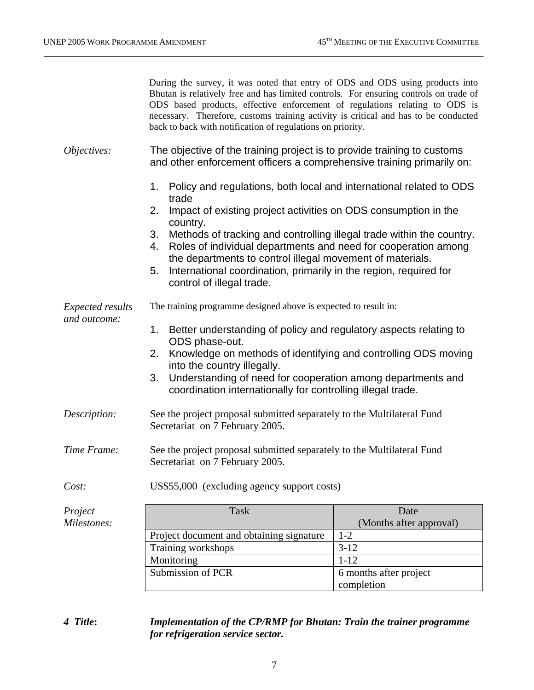|                                         | During the survey, it was noted that entry of ODS and ODS using products into<br>Bhutan is relatively free and has limited controls. For ensuring controls on trade of<br>ODS based products, effective enforcement of regulations relating to ODS is<br>necessary. Therefore, customs training activity is critical and has to be conducted<br>back to back with notification of regulations on priority. |                                    |  |
|-----------------------------------------|------------------------------------------------------------------------------------------------------------------------------------------------------------------------------------------------------------------------------------------------------------------------------------------------------------------------------------------------------------------------------------------------------------|------------------------------------|--|
| Objectives:                             | The objective of the training project is to provide training to customs<br>and other enforcement officers a comprehensive training primarily on:                                                                                                                                                                                                                                                           |                                    |  |
|                                         | Policy and regulations, both local and international related to ODS<br>1.<br>trade                                                                                                                                                                                                                                                                                                                         |                                    |  |
|                                         | Impact of existing project activities on ODS consumption in the<br>2.<br>country.                                                                                                                                                                                                                                                                                                                          |                                    |  |
|                                         | Methods of tracking and controlling illegal trade within the country.<br>3.<br>Roles of individual departments and need for cooperation among<br>4.<br>the departments to control illegal movement of materials.                                                                                                                                                                                           |                                    |  |
|                                         | International coordination, primarily in the region, required for<br>5.<br>control of illegal trade.                                                                                                                                                                                                                                                                                                       |                                    |  |
| <i>Expected results</i><br>and outcome: | The training programme designed above is expected to result in:                                                                                                                                                                                                                                                                                                                                            |                                    |  |
|                                         | 1. Better understanding of policy and regulatory aspects relating to<br>ODS phase-out.                                                                                                                                                                                                                                                                                                                     |                                    |  |
|                                         | Knowledge on methods of identifying and controlling ODS moving<br>2.<br>into the country illegally.                                                                                                                                                                                                                                                                                                        |                                    |  |
|                                         | Understanding of need for cooperation among departments and<br>3.<br>coordination internationally for controlling illegal trade.                                                                                                                                                                                                                                                                           |                                    |  |
| Description:                            | See the project proposal submitted separately to the Multilateral Fund<br>Secretariat on 7 February 2005.                                                                                                                                                                                                                                                                                                  |                                    |  |
| Time Frame:                             | See the project proposal submitted separately to the Multilateral Fund<br>Secretariat on 7 February 2005.                                                                                                                                                                                                                                                                                                  |                                    |  |
| Cost:                                   | US\$55,000 (excluding agency support costs)                                                                                                                                                                                                                                                                                                                                                                |                                    |  |
| Project                                 | <b>Task</b>                                                                                                                                                                                                                                                                                                                                                                                                | Date                               |  |
| Milestones:                             |                                                                                                                                                                                                                                                                                                                                                                                                            | (Months after approval)<br>$1 - 2$ |  |
|                                         | Project document and obtaining signature<br>Training workshops                                                                                                                                                                                                                                                                                                                                             | $3 - 12$                           |  |
|                                         | Monitoring                                                                                                                                                                                                                                                                                                                                                                                                 | $1 - 12$                           |  |
|                                         | Submission of PCR                                                                                                                                                                                                                                                                                                                                                                                          | 6 months after project             |  |

## *4 Title***:** *Implementation of the CP/RMP for Bhutan: Train the trainer programme for refrigeration service sector.*

completion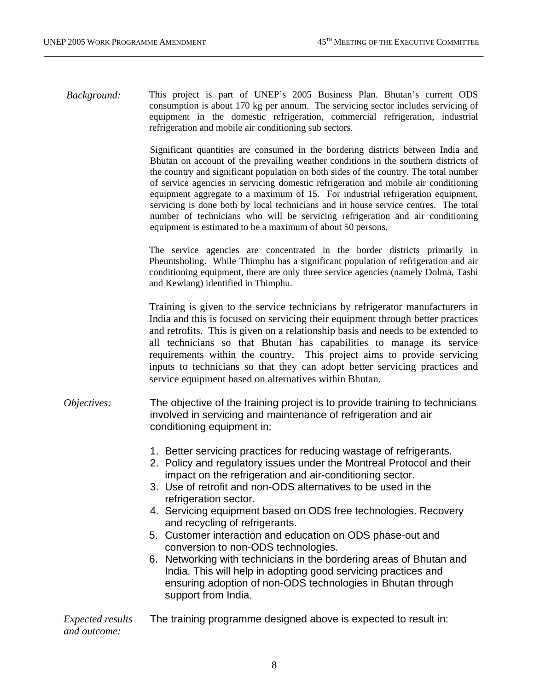*Background:* This project is part of UNEP's 2005 Business Plan. Bhutan's current ODS consumption is about 170 kg per annum. The servicing sector includes servicing of equipment in the domestic refrigeration, commercial refrigeration, industrial refrigeration and mobile air conditioning sub sectors.

> Significant quantities are consumed in the bordering districts between India and Bhutan on account of the prevailing weather conditions in the southern districts of the country and significant population on both sides of the country. The total number of service agencies in servicing domestic refrigeration and mobile air conditioning equipment aggregate to a maximum of 15. For industrial refrigeration equipment, servicing is done both by local technicians and in house service centres. The total number of technicians who will be servicing refrigeration and air conditioning equipment is estimated to be a maximum of about 50 persons.

> The service agencies are concentrated in the border districts primarily in Pheuntsholing. While Thimphu has a significant population of refrigeration and air conditioning equipment, there are only three service agencies (namely Dolma, Tashi and Kewlang) identified in Thimphu.

> Training is given to the service technicians by refrigerator manufacturers in India and this is focused on servicing their equipment through better practices and retrofits. This is given on a relationship basis and needs to be extended to all technicians so that Bhutan has capabilities to manage its service requirements within the country. This project aims to provide servicing inputs to technicians so that they can adopt better servicing practices and service equipment based on alternatives within Bhutan.

- *Objectives:* The objective of the training project is to provide training to technicians involved in servicing and maintenance of refrigeration and air conditioning equipment in:
	- 1. Better servicing practices for reducing wastage of refrigerants.
	- 2. Policy and regulatory issues under the Montreal Protocol and their impact on the refrigeration and air-conditioning sector.
	- 3. Use of retrofit and non-ODS alternatives to be used in the refrigeration sector.
	- 4. Servicing equipment based on ODS free technologies. Recovery and recycling of refrigerants.
	- 5. Customer interaction and education on ODS phase-out and conversion to non-ODS technologies.
	- 6. Networking with technicians in the bordering areas of Bhutan and India. This will help in adopting good servicing practices and ensuring adoption of non-ODS technologies in Bhutan through support from India.

*Expected results and outcome:*  The training programme designed above is expected to result in: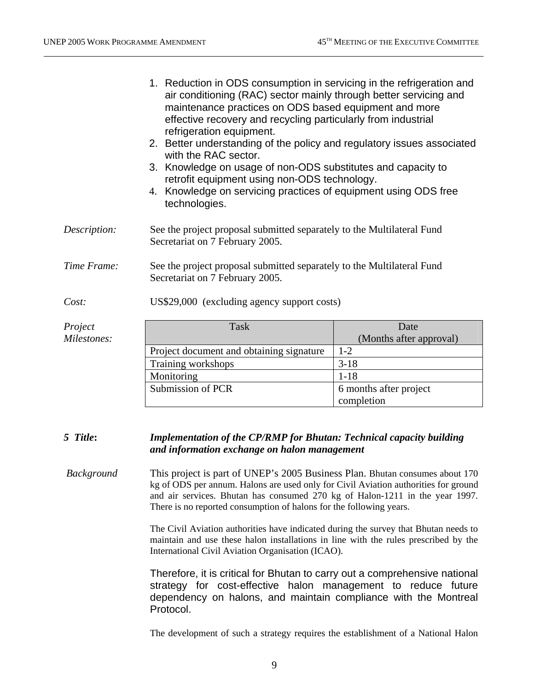|                        | 1. Reduction in ODS consumption in servicing in the refrigeration and<br>air conditioning (RAC) sector mainly through better servicing and<br>maintenance practices on ODS based equipment and more<br>effective recovery and recycling particularly from industrial<br>refrigeration equipment.<br>2. Better understanding of the policy and regulatory issues associated<br>with the RAC sector.<br>3. Knowledge on usage of non-ODS substitutes and capacity to<br>retrofit equipment using non-ODS technology.<br>4. Knowledge on servicing practices of equipment using ODS free<br>technologies. |                                 |
|------------------------|--------------------------------------------------------------------------------------------------------------------------------------------------------------------------------------------------------------------------------------------------------------------------------------------------------------------------------------------------------------------------------------------------------------------------------------------------------------------------------------------------------------------------------------------------------------------------------------------------------|---------------------------------|
| Description:           | See the project proposal submitted separately to the Multilateral Fund<br>Secretariat on 7 February 2005.                                                                                                                                                                                                                                                                                                                                                                                                                                                                                              |                                 |
| Time Frame:            | See the project proposal submitted separately to the Multilateral Fund<br>Secretariat on 7 February 2005.                                                                                                                                                                                                                                                                                                                                                                                                                                                                                              |                                 |
| Cost:                  | US\$29,000 (excluding agency support costs)                                                                                                                                                                                                                                                                                                                                                                                                                                                                                                                                                            |                                 |
| Project<br>Milestones: | <b>Task</b>                                                                                                                                                                                                                                                                                                                                                                                                                                                                                                                                                                                            | Date<br>(Months after approval) |
|                        | Project document and obtaining signature                                                                                                                                                                                                                                                                                                                                                                                                                                                                                                                                                               | $1-2$                           |
|                        | Training workshops                                                                                                                                                                                                                                                                                                                                                                                                                                                                                                                                                                                     | $3-18$                          |
|                        | Monitoring                                                                                                                                                                                                                                                                                                                                                                                                                                                                                                                                                                                             | $1 - 18$                        |
|                        | Submission of PCR                                                                                                                                                                                                                                                                                                                                                                                                                                                                                                                                                                                      | 6 months after project          |
|                        |                                                                                                                                                                                                                                                                                                                                                                                                                                                                                                                                                                                                        | completion                      |

#### *5 Title***:** *Implementation of the CP/RMP for Bhutan: Technical capacity building and information exchange on halon management*

 *Background* This project is part of UNEP's 2005 Business Plan. Bhutan consumes about 170 kg of ODS per annum. Halons are used only for Civil Aviation authorities for ground and air services. Bhutan has consumed 270 kg of Halon-1211 in the year 1997. There is no reported consumption of halons for the following years.

> The Civil Aviation authorities have indicated during the survey that Bhutan needs to maintain and use these halon installations in line with the rules prescribed by the International Civil Aviation Organisation (ICAO).

> Therefore, it is critical for Bhutan to carry out a comprehensive national strategy for cost-effective halon management to reduce future dependency on halons, and maintain compliance with the Montreal Protocol.

> The development of such a strategy requires the establishment of a National Halon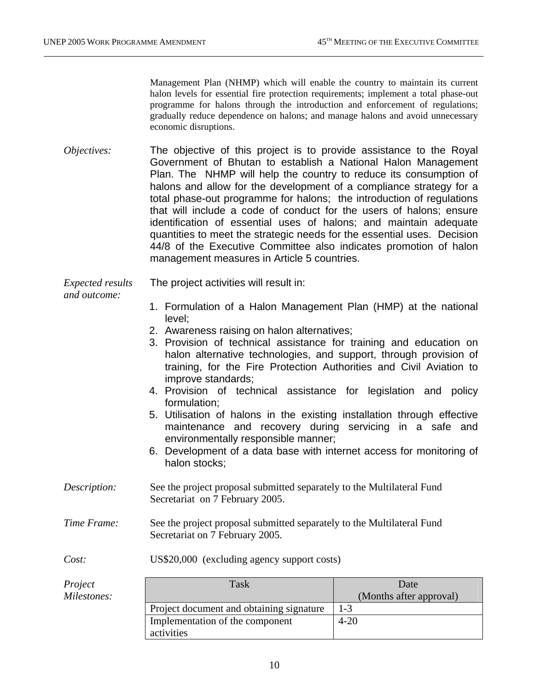Management Plan (NHMP) which will enable the country to maintain its current halon levels for essential fire protection requirements; implement a total phase-out programme for halons through the introduction and enforcement of regulations; gradually reduce dependence on halons; and manage halons and avoid unnecessary economic disruptions.

*Objectives:* The objective of this project is to provide assistance to the Royal Government of Bhutan to establish a National Halon Management Plan. The NHMP will help the country to reduce its consumption of halons and allow for the development of a compliance strategy for a total phase-out programme for halons; the introduction of regulations that will include a code of conduct for the users of halons; ensure identification of essential uses of halons; and maintain adequate quantities to meet the strategic needs for the essential uses. Decision 44/8 of the Executive Committee also indicates promotion of halon management measures in Article 5 countries.

*Expected results*  The project activities will result in:

#### *and outcome:*

1. Formulation of a Halon Management Plan (HMP) at the national level;

- 2. Awareness raising on halon alternatives;
- 3. Provision of technical assistance for training and education on halon alternative technologies, and support, through provision of training, for the Fire Protection Authorities and Civil Aviation to improve standards;
- 4. Provision of technical assistance for legislation and policy formulation;
- 5. Utilisation of halons in the existing installation through effective maintenance and recovery during servicing in a safe and environmentally responsible manner;
- 6. Development of a data base with internet access for monitoring of halon stocks;
- *Description:* See the project proposal submitted separately to the Multilateral Fund Secretariat on 7 February 2005.
- *Time Frame:* See the project proposal submitted separately to the Multilateral Fund Secretariat on 7 February 2005.

*Cost:* US\$20,000 (excluding agency support costs)

| Project     | Task                                     | Date                    |
|-------------|------------------------------------------|-------------------------|
| Milestones: |                                          | (Months after approval) |
|             | Project document and obtaining signature | $1 - 3$                 |
|             | Implementation of the component          | $4 - 20$                |
|             | activities                               |                         |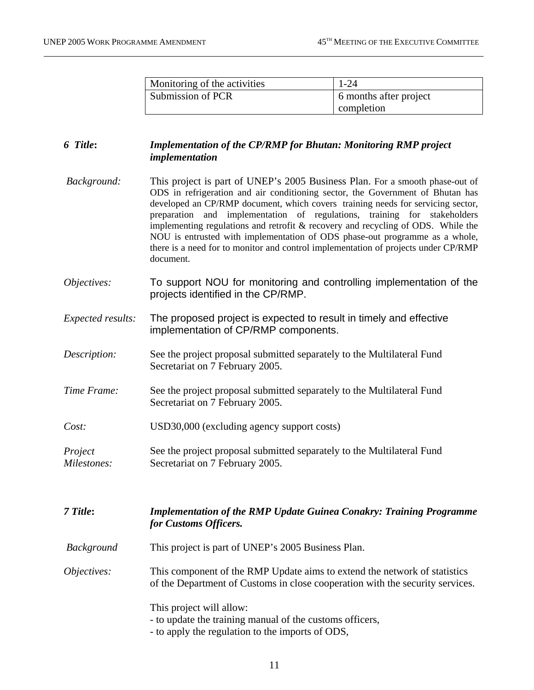| Monitoring of the activities | 1-24                   |
|------------------------------|------------------------|
| Submission of PCR            | 6 months after project |
|                              | completion             |

## *6 Title***:** *Implementation of the CP/RMP for Bhutan: Monitoring RMP project implementation*

- *Background:* This project is part of UNEP's 2005 Business Plan. For a smooth phase-out of ODS in refrigeration and air conditioning sector, the Government of Bhutan has developed an CP/RMP document, which covers training needs for servicing sector, preparation and implementation of regulations, training for stakeholders implementing regulations and retrofit & recovery and recycling of ODS. While the NOU is entrusted with implementation of ODS phase-out programme as a whole, there is a need for to monitor and control implementation of projects under CP/RMP document.
- *Objectives:* To support NOU for monitoring and controlling implementation of the projects identified in the CP/RMP.
- *Expected results:* The proposed project is expected to result in timely and effective implementation of CP/RMP components.
- *Description:* See the project proposal submitted separately to the Multilateral Fund Secretariat on 7 February 2005.
- *Time Frame:* See the project proposal submitted separately to the Multilateral Fund Secretariat on 7 February 2005.
- *Cost:* USD30,000 (excluding agency support costs)
- *Project Milestones:* See the project proposal submitted separately to the Multilateral Fund Secretariat on 7 February 2005.

*7 Title***:** *Implementation of the RMP Update Guinea Conakry: Training Programme for Customs Officers.* 

 *Background* This project is part of UNEP's 2005 Business Plan.

*Objectives:* This component of the RMP Update aims to extend the network of statistics of the Department of Customs in close cooperation with the security services.

This project will allow:

- to update the training manual of the customs officers,
- to apply the regulation to the imports of ODS,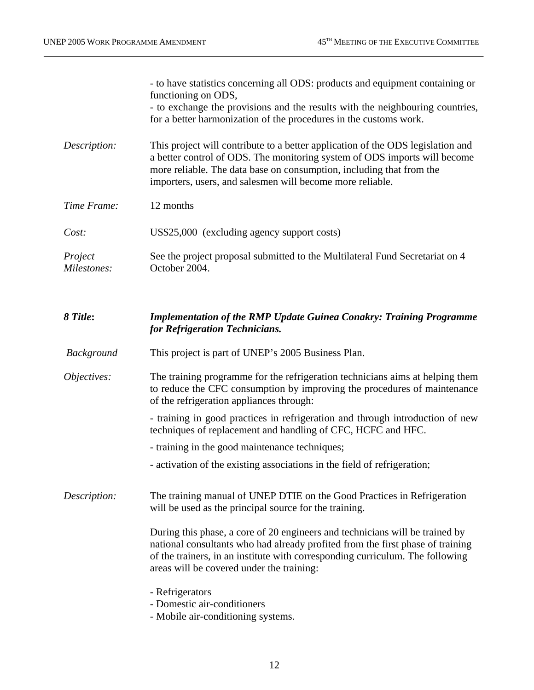|                        | - to have statistics concerning all ODS: products and equipment containing or<br>functioning on ODS,<br>- to exchange the provisions and the results with the neighbouring countries,<br>for a better harmonization of the procedures in the customs work.                                        |
|------------------------|---------------------------------------------------------------------------------------------------------------------------------------------------------------------------------------------------------------------------------------------------------------------------------------------------|
| Description:           | This project will contribute to a better application of the ODS legislation and<br>a better control of ODS. The monitoring system of ODS imports will become<br>more reliable. The data base on consumption, including that from the<br>importers, users, and salesmen will become more reliable. |
| Time Frame:            | 12 months                                                                                                                                                                                                                                                                                         |
| Cost:                  | US\$25,000 (excluding agency support costs)                                                                                                                                                                                                                                                       |
| Project<br>Milestones: | See the project proposal submitted to the Multilateral Fund Secretariat on 4<br>October 2004.                                                                                                                                                                                                     |
| 8 Title:               | <b>Implementation of the RMP Update Guinea Conakry: Training Programme</b><br>for Refrigeration Technicians.                                                                                                                                                                                      |
| <b>Background</b>      | This project is part of UNEP's 2005 Business Plan.                                                                                                                                                                                                                                                |
| Objectives:            | The training programme for the refrigeration technicians aims at helping them<br>to reduce the CFC consumption by improving the procedures of maintenance<br>of the refrigeration appliances through:                                                                                             |
|                        | - training in good practices in refrigeration and through introduction of new<br>techniques of replacement and handling of CFC, HCFC and HFC.                                                                                                                                                     |
|                        | - training in the good maintenance techniques;                                                                                                                                                                                                                                                    |
|                        | - activation of the existing associations in the field of refrigeration;                                                                                                                                                                                                                          |
| Description:           | The training manual of UNEP DTIE on the Good Practices in Refrigeration<br>will be used as the principal source for the training.                                                                                                                                                                 |
|                        | During this phase, a core of 20 engineers and technicians will be trained by<br>national consultants who had already profited from the first phase of training<br>of the trainers, in an institute with corresponding curriculum. The following<br>areas will be covered under the training:      |
|                        | - Refrigerators<br>- Domestic air-conditioners<br>- Mobile air-conditioning systems.                                                                                                                                                                                                              |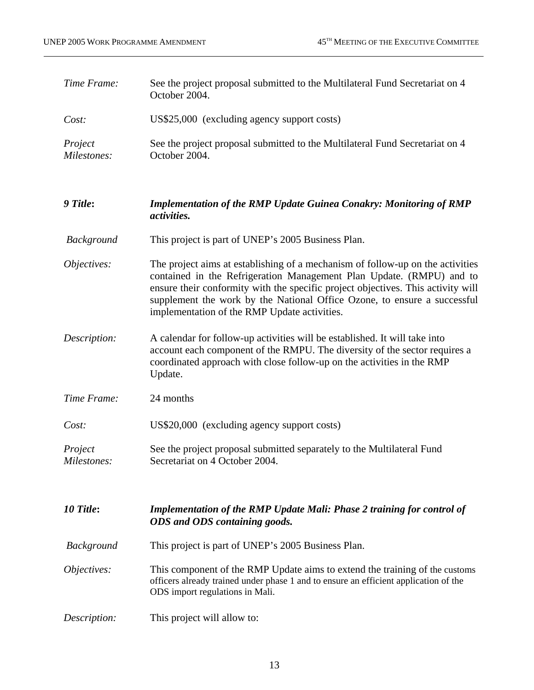| Time Frame:            | See the project proposal submitted to the Multilateral Fund Secretariat on 4<br>October 2004.                                                                                                                                                                                                                                                                          |  |  |
|------------------------|------------------------------------------------------------------------------------------------------------------------------------------------------------------------------------------------------------------------------------------------------------------------------------------------------------------------------------------------------------------------|--|--|
| Cost:                  | US\$25,000 (excluding agency support costs)                                                                                                                                                                                                                                                                                                                            |  |  |
| Project<br>Milestones: | See the project proposal submitted to the Multilateral Fund Secretariat on 4<br>October 2004.                                                                                                                                                                                                                                                                          |  |  |
| 9 Title:               | <b>Implementation of the RMP Update Guinea Conakry: Monitoring of RMP</b><br>activities.                                                                                                                                                                                                                                                                               |  |  |
| <b>Background</b>      | This project is part of UNEP's 2005 Business Plan.                                                                                                                                                                                                                                                                                                                     |  |  |
| Objectives:            | The project aims at establishing of a mechanism of follow-up on the activities<br>contained in the Refrigeration Management Plan Update. (RMPU) and to<br>ensure their conformity with the specific project objectives. This activity will<br>supplement the work by the National Office Ozone, to ensure a successful<br>implementation of the RMP Update activities. |  |  |
| Description:           | A calendar for follow-up activities will be established. It will take into<br>account each component of the RMPU. The diversity of the sector requires a<br>coordinated approach with close follow-up on the activities in the RMP<br>Update.                                                                                                                          |  |  |
| Time Frame:            | 24 months                                                                                                                                                                                                                                                                                                                                                              |  |  |
| Cost:                  | US\$20,000 (excluding agency support costs)                                                                                                                                                                                                                                                                                                                            |  |  |
| Project<br>Milestones: | See the project proposal submitted separately to the Multilateral Fund<br>Secretariat on 4 October 2004.                                                                                                                                                                                                                                                               |  |  |
| 10 Title:              | <b>Implementation of the RMP Update Mali: Phase 2 training for control of</b><br>ODS and ODS containing goods.                                                                                                                                                                                                                                                         |  |  |
| <b>Background</b>      | This project is part of UNEP's 2005 Business Plan.                                                                                                                                                                                                                                                                                                                     |  |  |
| Objectives:            | This component of the RMP Update aims to extend the training of the customs<br>officers already trained under phase 1 and to ensure an efficient application of the<br>ODS import regulations in Mali.                                                                                                                                                                 |  |  |
| Description:           | This project will allow to:                                                                                                                                                                                                                                                                                                                                            |  |  |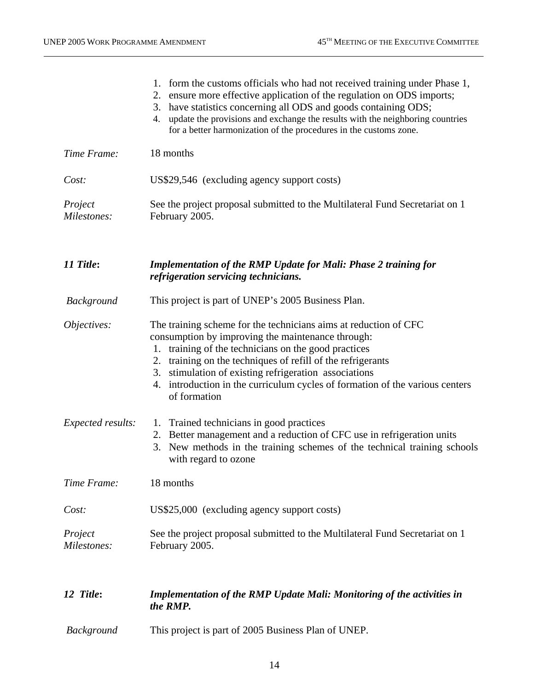|                        | 1. form the customs officials who had not received training under Phase 1,<br>2. ensure more effective application of the regulation on ODS imports;<br>3. have statistics concerning all ODS and goods containing ODS;<br>update the provisions and exchange the results with the neighboring countries<br>4.<br>for a better harmonization of the procedures in the customs zone.                   |  |
|------------------------|-------------------------------------------------------------------------------------------------------------------------------------------------------------------------------------------------------------------------------------------------------------------------------------------------------------------------------------------------------------------------------------------------------|--|
| Time Frame:            | 18 months                                                                                                                                                                                                                                                                                                                                                                                             |  |
| Cost:                  | US\$29,546 (excluding agency support costs)                                                                                                                                                                                                                                                                                                                                                           |  |
| Project<br>Milestones: | See the project proposal submitted to the Multilateral Fund Secretariat on 1<br>February 2005.                                                                                                                                                                                                                                                                                                        |  |
| 11 Title:              | <b>Implementation of the RMP Update for Mali: Phase 2 training for</b><br>refrigeration servicing technicians.                                                                                                                                                                                                                                                                                        |  |
| <b>Background</b>      | This project is part of UNEP's 2005 Business Plan.                                                                                                                                                                                                                                                                                                                                                    |  |
| Objectives:            | The training scheme for the technicians aims at reduction of CFC<br>consumption by improving the maintenance through:<br>1. training of the technicians on the good practices<br>2. training on the techniques of refill of the refrigerants<br>3. stimulation of existing refrigeration associations<br>4. introduction in the curriculum cycles of formation of the various centers<br>of formation |  |
| Expected results:      | 1. Trained technicians in good practices<br>2. Better management and a reduction of CFC use in refrigeration units<br>3. New methods in the training schemes of the technical training schools<br>with regard to ozone                                                                                                                                                                                |  |
| Time Frame:            | 18 months                                                                                                                                                                                                                                                                                                                                                                                             |  |
| Cost:                  | US\$25,000 (excluding agency support costs)                                                                                                                                                                                                                                                                                                                                                           |  |
| Project<br>Milestones: | See the project proposal submitted to the Multilateral Fund Secretariat on 1<br>February 2005.                                                                                                                                                                                                                                                                                                        |  |
| 12 Title:              | <b>Implementation of the RMP Update Mali: Monitoring of the activities in</b><br>the RMP.                                                                                                                                                                                                                                                                                                             |  |
| Background             | This project is part of 2005 Business Plan of UNEP.                                                                                                                                                                                                                                                                                                                                                   |  |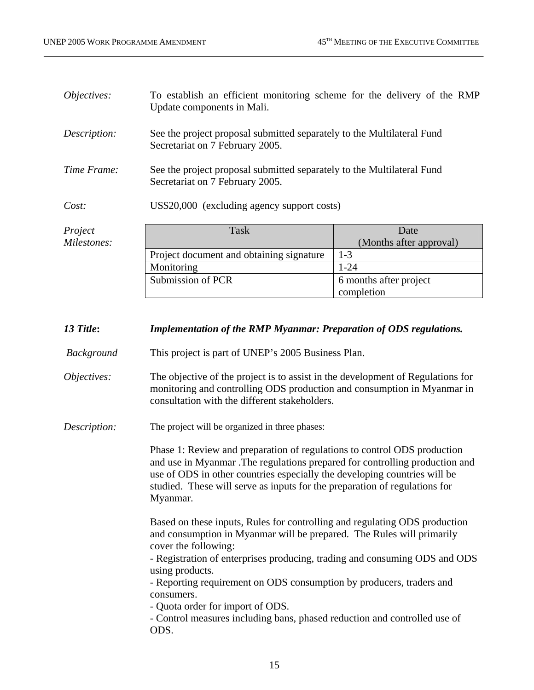| Objectives:  | To establish an efficient monitoring scheme for the delivery of the RMP<br>Update components in Mali.     |                         |
|--------------|-----------------------------------------------------------------------------------------------------------|-------------------------|
| Description: | See the project proposal submitted separately to the Multilateral Fund<br>Secretariat on 7 February 2005. |                         |
| Time Frame:  | See the project proposal submitted separately to the Multilateral Fund<br>Secretariat on 7 February 2005. |                         |
| Cost:        | US\$20,000 (excluding agency support costs)                                                               |                         |
| Project      | Task                                                                                                      | Date                    |
| Milestones:  |                                                                                                           | (Months after approval) |
|              | Project document and obtaining signature                                                                  | $1 - 3$                 |
|              | Monitoring                                                                                                | $1 - 24$                |
|              | Submission of PCR                                                                                         | 6 months after project  |

#### *13 Title***:** *Implementation of the RMP Myanmar: Preparation of ODS regulations.*

 *Background* This project is part of UNEP's 2005 Business Plan.

*Objectives:* The objective of the project is to assist in the development of Regulations for monitoring and controlling ODS production and consumption in Myanmar in consultation with the different stakeholders.

*Description:* The project will be organized in three phases:

Phase 1: Review and preparation of regulations to control ODS production and use in Myanmar .The regulations prepared for controlling production and use of ODS in other countries especially the developing countries will be studied. These will serve as inputs for the preparation of regulations for Myanmar.

completion

Based on these inputs, Rules for controlling and regulating ODS production and consumption in Myanmar will be prepared. The Rules will primarily cover the following:

- Registration of enterprises producing, trading and consuming ODS and ODS using products.

- Reporting requirement on ODS consumption by producers, traders and consumers.

- Quota order for import of ODS.

- Control measures including bans, phased reduction and controlled use of ODS.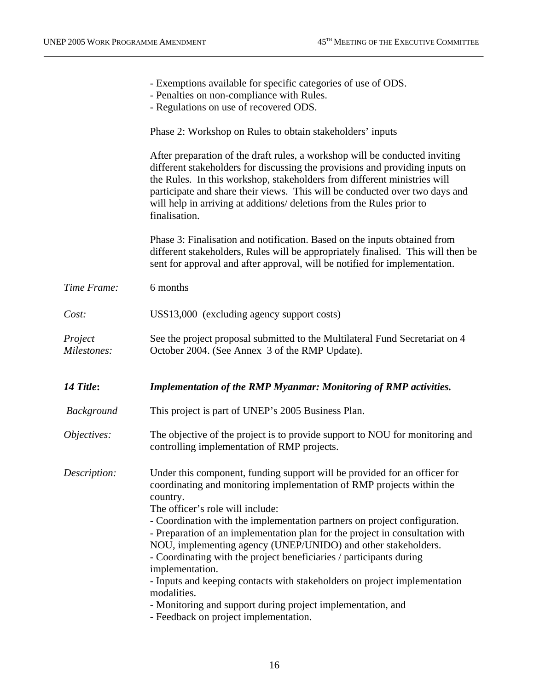| - Exemptions available for specific categories of use of ODS.<br>- Penalties on non-compliance with Rules.<br>- Regulations on use of recovered ODS.                                                                                                                                                                                                                                                             |
|------------------------------------------------------------------------------------------------------------------------------------------------------------------------------------------------------------------------------------------------------------------------------------------------------------------------------------------------------------------------------------------------------------------|
| Phase 2: Workshop on Rules to obtain stakeholders' inputs                                                                                                                                                                                                                                                                                                                                                        |
| After preparation of the draft rules, a workshop will be conducted inviting<br>different stakeholders for discussing the provisions and providing inputs on<br>the Rules. In this workshop, stakeholders from different ministries will<br>participate and share their views. This will be conducted over two days and<br>will help in arriving at additions/ deletions from the Rules prior to<br>finalisation. |
| Phase 3: Finalisation and notification. Based on the inputs obtained from<br>different stakeholders, Rules will be appropriately finalised. This will then be<br>sent for approval and after approval, will be notified for implementation.                                                                                                                                                                      |
| 6 months                                                                                                                                                                                                                                                                                                                                                                                                         |
| US\$13,000 (excluding agency support costs)                                                                                                                                                                                                                                                                                                                                                                      |
| See the project proposal submitted to the Multilateral Fund Secretariat on 4<br>October 2004. (See Annex 3 of the RMP Update).                                                                                                                                                                                                                                                                                   |
| Implementation of the RMP Myanmar: Monitoring of RMP activities.                                                                                                                                                                                                                                                                                                                                                 |
| This project is part of UNEP's 2005 Business Plan.                                                                                                                                                                                                                                                                                                                                                               |
| The objective of the project is to provide support to NOU for monitoring and<br>controlling implementation of RMP projects.                                                                                                                                                                                                                                                                                      |
| Under this component, funding support will be provided for an officer for<br>coordinating and monitoring implementation of RMP projects within the                                                                                                                                                                                                                                                               |
|                                                                                                                                                                                                                                                                                                                                                                                                                  |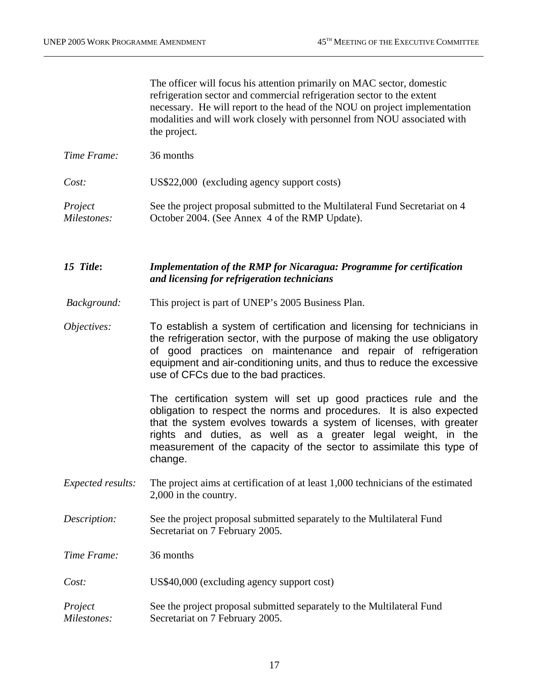The officer will focus his attention primarily on MAC sector, domestic refrigeration sector and commercial refrigeration sector to the extent necessary. He will report to the head of the NOU on project implementation modalities and will work closely with personnel from NOU associated with the project.

*Time Frame:* 36 months *Cost:* US\$22,000 (excluding agency support costs) *Project Milestones:*  See the project proposal submitted to the Multilateral Fund Secretariat on 4 October 2004. (See Annex 4 of the RMP Update).

*15 Title***:** *Implementation of the RMP for Nicaragua: Programme for certification and licensing for refrigeration technicians* 

- *Background:* This project is part of UNEP's 2005 Business Plan.
- *Objectives:* To establish a system of certification and licensing for technicians in the refrigeration sector, with the purpose of making the use obligatory of good practices on maintenance and repair of refrigeration equipment and air-conditioning units, and thus to reduce the excessive use of CFCs due to the bad practices.

The certification system will set up good practices rule and the obligation to respect the norms and procedures. It is also expected that the system evolves towards a system of licenses, with greater rights and duties, as well as a greater legal weight, in the measurement of the capacity of the sector to assimilate this type of change.

- *Expected results:* The project aims at certification of at least 1,000 technicians of the estimated 2,000 in the country.
- *Description:* See the project proposal submitted separately to the Multilateral Fund Secretariat on 7 February 2005.

*Time Frame:* 36 months

*Cost:* US\$40,000 (excluding agency support cost)

*Project Milestones:* See the project proposal submitted separately to the Multilateral Fund Secretariat on 7 February 2005.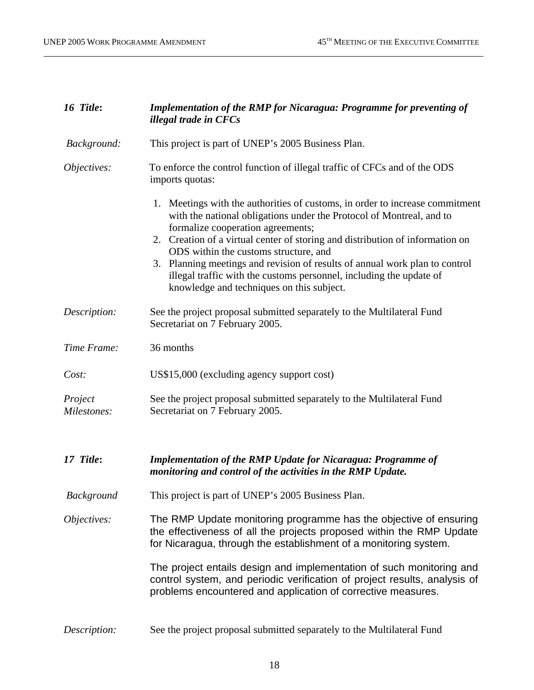| 16 Title:              | <b>Implementation of the RMP for Nicaragua: Programme for preventing of</b><br>illegal trade in CFCs                                                                                                                                                                                                                                                                                                                                                                                                                   |  |  |
|------------------------|------------------------------------------------------------------------------------------------------------------------------------------------------------------------------------------------------------------------------------------------------------------------------------------------------------------------------------------------------------------------------------------------------------------------------------------------------------------------------------------------------------------------|--|--|
| Background:            | This project is part of UNEP's 2005 Business Plan.                                                                                                                                                                                                                                                                                                                                                                                                                                                                     |  |  |
| Objectives:            | To enforce the control function of illegal traffic of CFCs and of the ODS<br>imports quotas:                                                                                                                                                                                                                                                                                                                                                                                                                           |  |  |
|                        | 1. Meetings with the authorities of customs, in order to increase commitment<br>with the national obligations under the Protocol of Montreal, and to<br>formalize cooperation agreements;<br>2. Creation of a virtual center of storing and distribution of information on<br>ODS within the customs structure, and<br>3. Planning meetings and revision of results of annual work plan to control<br>illegal traffic with the customs personnel, including the update of<br>knowledge and techniques on this subject. |  |  |
| Description:           | See the project proposal submitted separately to the Multilateral Fund<br>Secretariat on 7 February 2005.                                                                                                                                                                                                                                                                                                                                                                                                              |  |  |
| Time Frame:            | 36 months                                                                                                                                                                                                                                                                                                                                                                                                                                                                                                              |  |  |
| Cost:                  | US\$15,000 (excluding agency support cost)                                                                                                                                                                                                                                                                                                                                                                                                                                                                             |  |  |
| Project<br>Milestones: | See the project proposal submitted separately to the Multilateral Fund<br>Secretariat on 7 February 2005.                                                                                                                                                                                                                                                                                                                                                                                                              |  |  |
| 17 Title:              | <b>Implementation of the RMP Update for Nicaragua: Programme of</b><br>monitoring and control of the activities in the RMP Update.                                                                                                                                                                                                                                                                                                                                                                                     |  |  |
| <b>Background</b>      | This project is part of UNEP's 2005 Business Plan.                                                                                                                                                                                                                                                                                                                                                                                                                                                                     |  |  |
| Objectives:            | The RMP Update monitoring programme has the objective of ensuring<br>the effectiveness of all the projects proposed within the RMP Update<br>for Nicaragua, through the establishment of a monitoring system.                                                                                                                                                                                                                                                                                                          |  |  |
|                        | The project entails design and implementation of such monitoring and<br>control system, and periodic verification of project results, analysis of<br>problems encountered and application of corrective measures.                                                                                                                                                                                                                                                                                                      |  |  |
| Description:           | See the project proposal submitted separately to the Multilateral Fund                                                                                                                                                                                                                                                                                                                                                                                                                                                 |  |  |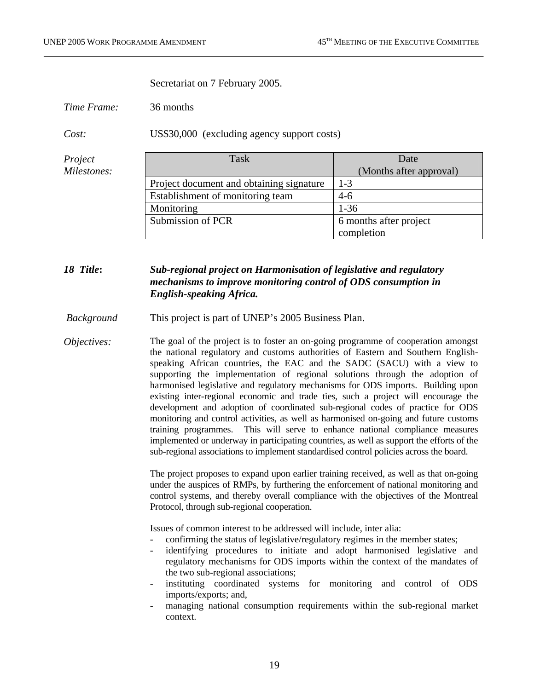Secretariat on 7 February 2005.

*Time Frame:* 36 months

*Cost:* US\$30,000 (excluding agency support costs)

| Project     | Task                                     | Date                    |
|-------------|------------------------------------------|-------------------------|
| Milestones: |                                          | (Months after approval) |
|             | Project document and obtaining signature | $1-3$                   |
|             | Establishment of monitoring team         | $4-6$                   |
|             | Monitoring                               | $1 - 36$                |
|             | Submission of PCR                        | 6 months after project  |
|             |                                          | completion              |

#### *18 Title***:** *Sub-regional project on Harmonisation of legislative and regulatory mechanisms to improve monitoring control of ODS consumption in English-speaking Africa.*

 *Background* This project is part of UNEP's 2005 Business Plan.

*Objectives:* The goal of the project is to foster an on-going programme of cooperation amongst the national regulatory and customs authorities of Eastern and Southern Englishspeaking African countries, the EAC and the SADC (SACU) with a view to supporting the implementation of regional solutions through the adoption of harmonised legislative and regulatory mechanisms for ODS imports. Building upon existing inter-regional economic and trade ties, such a project will encourage the development and adoption of coordinated sub-regional codes of practice for ODS monitoring and control activities, as well as harmonised on-going and future customs training programmes. This will serve to enhance national compliance measures implemented or underway in participating countries, as well as support the efforts of the sub-regional associations to implement standardised control policies across the board.

> The project proposes to expand upon earlier training received, as well as that on-going under the auspices of RMPs, by furthering the enforcement of national monitoring and control systems, and thereby overall compliance with the objectives of the Montreal Protocol, through sub-regional cooperation.

Issues of common interest to be addressed will include, inter alia:

- confirming the status of legislative/regulatory regimes in the member states;
- identifying procedures to initiate and adopt harmonised legislative and regulatory mechanisms for ODS imports within the context of the mandates of the two sub-regional associations;
- instituting coordinated systems for monitoring and control of ODS imports/exports; and,
- managing national consumption requirements within the sub-regional market context.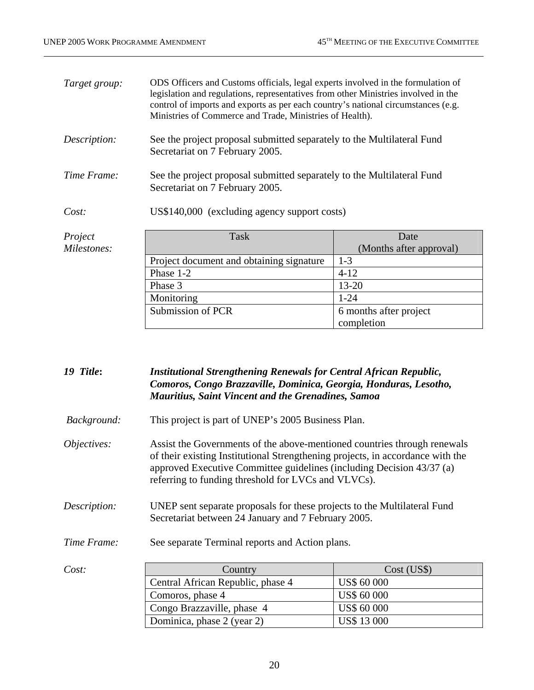| Target group: | ODS Officers and Customs officials, legal experts involved in the formulation of<br>legislation and regulations, representatives from other Ministries involved in the<br>control of imports and exports as per each country's national circumstances (e.g.<br>Ministries of Commerce and Trade, Ministries of Health). |                         |
|---------------|-------------------------------------------------------------------------------------------------------------------------------------------------------------------------------------------------------------------------------------------------------------------------------------------------------------------------|-------------------------|
| Description:  | See the project proposal submitted separately to the Multilateral Fund<br>Secretariat on 7 February 2005.                                                                                                                                                                                                               |                         |
| Time Frame:   | See the project proposal submitted separately to the Multilateral Fund<br>Secretariat on 7 February 2005.                                                                                                                                                                                                               |                         |
| Cost:         | US\$140,000 (excluding agency support costs)                                                                                                                                                                                                                                                                            |                         |
| Project       | Task                                                                                                                                                                                                                                                                                                                    | Date                    |
| Milestones:   |                                                                                                                                                                                                                                                                                                                         | (Months after approval) |
|               | Project document and obtaining signature                                                                                                                                                                                                                                                                                | $1-3$                   |
|               | $Dh$ gea $1-2$                                                                                                                                                                                                                                                                                                          | $A-12$                  |

| Project     | Task                                     | Date                    |
|-------------|------------------------------------------|-------------------------|
| Milestones: |                                          | (Months after approval) |
|             | Project document and obtaining signature | $1-3$                   |
|             | Phase 1-2                                | $4-12$                  |
|             | Phase 3                                  | $13 - 20$               |
|             | Monitoring                               | $1 - 24$                |
|             | Submission of PCR                        | 6 months after project  |
|             |                                          | completion              |

*19 Title***:** *Institutional Strengthening Renewals for Central African Republic, Comoros, Congo Brazzaville, Dominica, Georgia, Honduras, Lesotho, Mauritius, Saint Vincent and the Grenadines, Samoa* 

 *Background:* This project is part of UNEP's 2005 Business Plan.

*Objectives:* Assist the Governments of the above-mentioned countries through renewals of their existing Institutional Strengthening projects, in accordance with the approved Executive Committee guidelines (including Decision 43/37 (a) referring to funding threshold for LVCs and VLVCs).

*Description:* UNEP sent separate proposals for these projects to the Multilateral Fund Secretariat between 24 January and 7 February 2005.

*Time Frame:* See separate Terminal reports and Action plans.

| Cost: | Country                           | Cost (USS)         |
|-------|-----------------------------------|--------------------|
|       | Central African Republic, phase 4 | <b>US\$ 60 000</b> |
|       | Comoros, phase 4                  | <b>US\$ 60 000</b> |
|       | Congo Brazzaville, phase 4        | <b>US\$ 60 000</b> |
|       | Dominica, phase 2 (year 2)        | <b>US\$13000</b>   |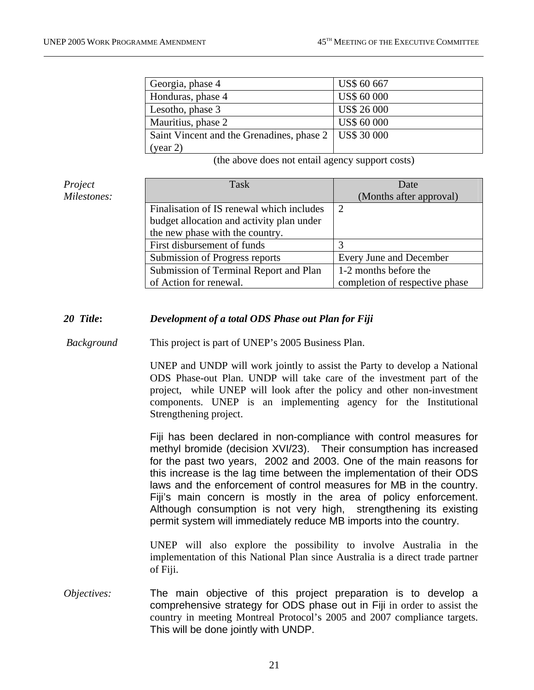| Georgia, phase 4                                        | <b>US\$ 60 667</b> |
|---------------------------------------------------------|--------------------|
| Honduras, phase 4                                       | <b>US\$ 60 000</b> |
| Lesotho, phase 3                                        | <b>US\$ 26 000</b> |
| Mauritius, phase 2                                      | <b>US\$ 60 000</b> |
| Saint Vincent and the Grenadines, phase 2   US\$ 30 000 |                    |
| (year 2)                                                |                    |

(the above does not entail agency support costs)

| Project     | <b>Task</b>                               | Date                           |
|-------------|-------------------------------------------|--------------------------------|
| Milestones: |                                           | (Months after approval)        |
|             | Finalisation of IS renewal which includes | $\overline{2}$                 |
|             | budget allocation and activity plan under |                                |
|             | the new phase with the country.           |                                |
|             | First disbursement of funds               |                                |
|             | Submission of Progress reports            | Every June and December        |
|             | Submission of Terminal Report and Plan    | 1-2 months before the          |
|             | of Action for renewal.                    | completion of respective phase |

#### *20 Title***:** *Development of a total ODS Phase out Plan for Fiji*

 *Background* This project is part of UNEP's 2005 Business Plan.

UNEP and UNDP will work jointly to assist the Party to develop a National ODS Phase-out Plan. UNDP will take care of the investment part of the project, while UNEP will look after the policy and other non-investment components. UNEP is an implementing agency for the Institutional Strengthening project.

Fiji has been declared in non-compliance with control measures for methyl bromide (decision XVI/23). Their consumption has increased for the past two years, 2002 and 2003. One of the main reasons for this increase is the lag time between the implementation of their ODS laws and the enforcement of control measures for MB in the country. Fiji's main concern is mostly in the area of policy enforcement. Although consumption is not very high, strengthening its existing permit system will immediately reduce MB imports into the country.

UNEP will also explore the possibility to involve Australia in the implementation of this National Plan since Australia is a direct trade partner of Fiji.

*Objectives:* The main objective of this project preparation is to develop a comprehensive strategy for ODS phase out in Fiji in order to assist the country in meeting Montreal Protocol's 2005 and 2007 compliance targets. This will be done jointly with UNDP.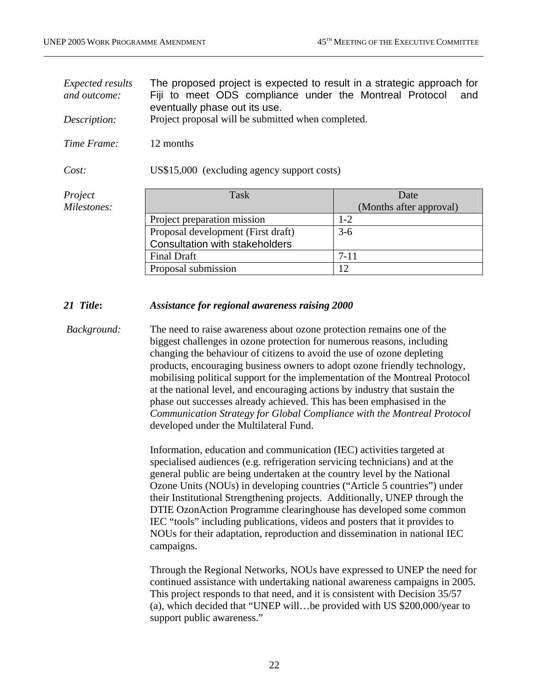| <i>Expected results</i><br>and outcome:<br>Description: | The proposed project is expected to result in a strategic approach for<br>Fiji to meet ODS compliance under the Montreal Protocol<br>and<br>eventually phase out its use.<br>Project proposal will be submitted when completed. |                         |
|---------------------------------------------------------|---------------------------------------------------------------------------------------------------------------------------------------------------------------------------------------------------------------------------------|-------------------------|
| Time Frame:                                             | 12 months                                                                                                                                                                                                                       |                         |
| Cost:                                                   | US\$15,000 (excluding agency support costs)                                                                                                                                                                                     |                         |
| Project                                                 | Task                                                                                                                                                                                                                            | Date                    |
| Milestones:                                             |                                                                                                                                                                                                                                 | (Months after approval) |
|                                                         | Project preparation mission                                                                                                                                                                                                     | $1 - 2$                 |
|                                                         | Proposal development (First draft)                                                                                                                                                                                              | $3-6$                   |
|                                                         | <b>Consultation with stakeholders</b>                                                                                                                                                                                           |                         |
|                                                         | <b>Final Draft</b>                                                                                                                                                                                                              | $7 - 11$                |
|                                                         | Proposal submission                                                                                                                                                                                                             | 12                      |

#### *21 Title***:** *Assistance for regional awareness raising 2000*

*Background:* The need to raise awareness about ozone protection remains one of the biggest challenges in ozone protection for numerous reasons, including changing the behaviour of citizens to avoid the use of ozone depleting products, encouraging business owners to adopt ozone friendly technology, mobilising political support for the implementation of the Montreal Protocol at the national level, and encouraging actions by industry that sustain the phase out successes already achieved. This has been emphasised in the *Communication Strategy for Global Compliance with the Montreal Protocol* developed under the Multilateral Fund.

> Information, education and communication (IEC) activities targeted at specialised audiences (e.g. refrigeration servicing technicians) and at the general public are being undertaken at the country level by the National Ozone Units (NOUs) in developing countries ("Article 5 countries") under their Institutional Strengthening projects. Additionally, UNEP through the DTIE OzonAction Programme clearinghouse has developed some common IEC "tools" including publications, videos and posters that it provides to NOUs for their adaptation, reproduction and dissemination in national IEC campaigns.

Through the Regional Networks, NOUs have expressed to UNEP the need for continued assistance with undertaking national awareness campaigns in 2005. This project responds to that need, and it is consistent with Decision 35/57 (a), which decided that "UNEP will…be provided with US \$200,000/year to support public awareness."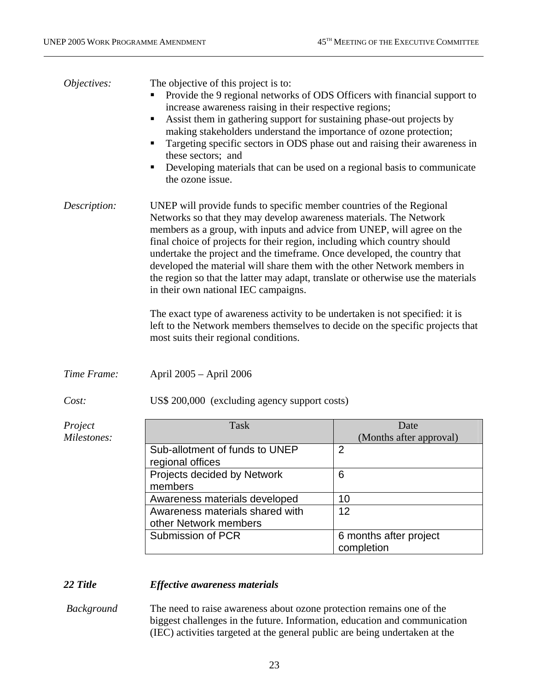| Objectives:  | The objective of this project is to:<br>Provide the 9 regional networks of ODS Officers with financial support to<br>increase awareness raising in their respective regions;<br>Assist them in gathering support for sustaining phase-out projects by<br>п<br>making stakeholders understand the importance of ozone protection;<br>Targeting specific sectors in ODS phase out and raising their awareness in<br>п<br>these sectors; and<br>Developing materials that can be used on a regional basis to communicate<br>п<br>the ozone issue.                                                                                                                                                                                                                                                       |                                      |
|--------------|------------------------------------------------------------------------------------------------------------------------------------------------------------------------------------------------------------------------------------------------------------------------------------------------------------------------------------------------------------------------------------------------------------------------------------------------------------------------------------------------------------------------------------------------------------------------------------------------------------------------------------------------------------------------------------------------------------------------------------------------------------------------------------------------------|--------------------------------------|
| Description: | UNEP will provide funds to specific member countries of the Regional<br>Networks so that they may develop awareness materials. The Network<br>members as a group, with inputs and advice from UNEP, will agree on the<br>final choice of projects for their region, including which country should<br>undertake the project and the timeframe. Once developed, the country that<br>developed the material will share them with the other Network members in<br>the region so that the latter may adapt, translate or otherwise use the materials<br>in their own national IEC campaigns.<br>The exact type of awareness activity to be undertaken is not specified: it is<br>left to the Network members themselves to decide on the specific projects that<br>most suits their regional conditions. |                                      |
| Time Frame:  | April 2005 – April 2006                                                                                                                                                                                                                                                                                                                                                                                                                                                                                                                                                                                                                                                                                                                                                                              |                                      |
| Cost:        | US\$ 200,000 (excluding agency support costs)                                                                                                                                                                                                                                                                                                                                                                                                                                                                                                                                                                                                                                                                                                                                                        |                                      |
| Project      | <b>Task</b>                                                                                                                                                                                                                                                                                                                                                                                                                                                                                                                                                                                                                                                                                                                                                                                          | Date                                 |
| Milestones:  |                                                                                                                                                                                                                                                                                                                                                                                                                                                                                                                                                                                                                                                                                                                                                                                                      | (Months after approval)              |
|              | Sub-allotment of funds to UNEP<br>regional offices                                                                                                                                                                                                                                                                                                                                                                                                                                                                                                                                                                                                                                                                                                                                                   | $\overline{2}$                       |
|              | Projects decided by Network<br>members                                                                                                                                                                                                                                                                                                                                                                                                                                                                                                                                                                                                                                                                                                                                                               | 6                                    |
|              | Awareness materials developed                                                                                                                                                                                                                                                                                                                                                                                                                                                                                                                                                                                                                                                                                                                                                                        | 10                                   |
|              | Awareness materials shared with                                                                                                                                                                                                                                                                                                                                                                                                                                                                                                                                                                                                                                                                                                                                                                      | 12                                   |
|              | other Network members                                                                                                                                                                                                                                                                                                                                                                                                                                                                                                                                                                                                                                                                                                                                                                                |                                      |
|              | Submission of PCR                                                                                                                                                                                                                                                                                                                                                                                                                                                                                                                                                                                                                                                                                                                                                                                    | 6 months after project<br>completion |
| $22$ Title   | <b>Effective awareness materials</b>                                                                                                                                                                                                                                                                                                                                                                                                                                                                                                                                                                                                                                                                                                                                                                 |                                      |

#### *22 Title Effective awareness materials*

 *Background* The need to raise awareness about ozone protection remains one of the biggest challenges in the future. Information, education and communication (IEC) activities targeted at the general public are being undertaken at the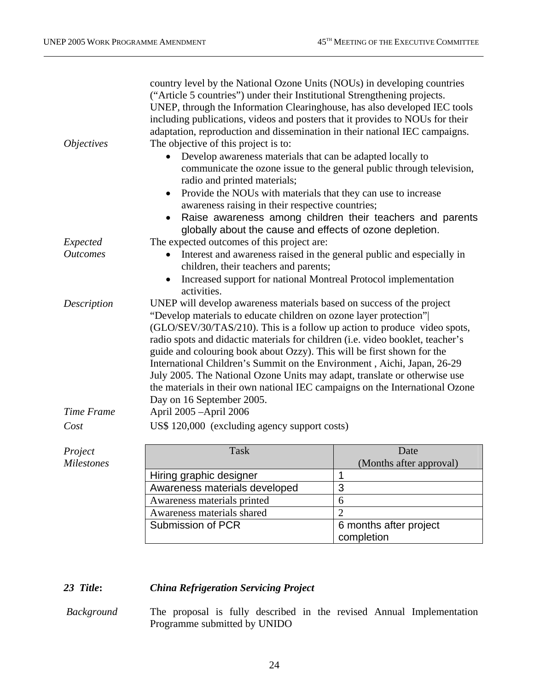| <i>Objectives</i> | country level by the National Ozone Units (NOUs) in developing countries<br>("Article 5 countries") under their Institutional Strengthening projects.<br>UNEP, through the Information Clearinghouse, has also developed IEC tools<br>including publications, videos and posters that it provides to NOUs for their<br>adaptation, reproduction and dissemination in their national IEC campaigns.<br>The objective of this project is to:<br>Develop awareness materials that can be adapted locally to<br>communicate the ozone issue to the general public through television,<br>radio and printed materials;<br>Provide the NOUs with materials that they can use to increase<br>$\bullet$<br>awareness raising in their respective countries;<br>Raise awareness among children their teachers and parents<br>globally about the cause and effects of ozone depletion. |                         |  |
|-------------------|------------------------------------------------------------------------------------------------------------------------------------------------------------------------------------------------------------------------------------------------------------------------------------------------------------------------------------------------------------------------------------------------------------------------------------------------------------------------------------------------------------------------------------------------------------------------------------------------------------------------------------------------------------------------------------------------------------------------------------------------------------------------------------------------------------------------------------------------------------------------------|-------------------------|--|
| Expected          | The expected outcomes of this project are:                                                                                                                                                                                                                                                                                                                                                                                                                                                                                                                                                                                                                                                                                                                                                                                                                                   |                         |  |
| <b>Outcomes</b>   | Interest and awareness raised in the general public and especially in<br>$\bullet$                                                                                                                                                                                                                                                                                                                                                                                                                                                                                                                                                                                                                                                                                                                                                                                           |                         |  |
|                   | children, their teachers and parents;                                                                                                                                                                                                                                                                                                                                                                                                                                                                                                                                                                                                                                                                                                                                                                                                                                        |                         |  |
|                   | Increased support for national Montreal Protocol implementation                                                                                                                                                                                                                                                                                                                                                                                                                                                                                                                                                                                                                                                                                                                                                                                                              |                         |  |
|                   | activities.                                                                                                                                                                                                                                                                                                                                                                                                                                                                                                                                                                                                                                                                                                                                                                                                                                                                  |                         |  |
| Description       | UNEP will develop awareness materials based on success of the project<br>"Develop materials to educate children on ozone layer protection"<br>(GLO/SEV/30/TAS/210). This is a follow up action to produce video spots,<br>radio spots and didactic materials for children (i.e. video booklet, teacher's<br>guide and colouring book about Ozzy). This will be first shown for the<br>International Children's Summit on the Environment, Aichi, Japan, 26-29<br>July 2005. The National Ozone Units may adapt, translate or otherwise use<br>the materials in their own national IEC campaigns on the International Ozone<br>Day on 16 September 2005.                                                                                                                                                                                                                      |                         |  |
| Time Frame        | April 2005 - April 2006                                                                                                                                                                                                                                                                                                                                                                                                                                                                                                                                                                                                                                                                                                                                                                                                                                                      |                         |  |
| Cost              | US\$ 120,000 (excluding agency support costs)                                                                                                                                                                                                                                                                                                                                                                                                                                                                                                                                                                                                                                                                                                                                                                                                                                |                         |  |
| Project           | <b>Task</b>                                                                                                                                                                                                                                                                                                                                                                                                                                                                                                                                                                                                                                                                                                                                                                                                                                                                  | Date                    |  |
| <b>Milestones</b> |                                                                                                                                                                                                                                                                                                                                                                                                                                                                                                                                                                                                                                                                                                                                                                                                                                                                              | (Months after approval) |  |
|                   | Hiring graphic designer                                                                                                                                                                                                                                                                                                                                                                                                                                                                                                                                                                                                                                                                                                                                                                                                                                                      | 1                       |  |
|                   | Awareness materials developed                                                                                                                                                                                                                                                                                                                                                                                                                                                                                                                                                                                                                                                                                                                                                                                                                                                | 3                       |  |
|                   | Awareness materials printed                                                                                                                                                                                                                                                                                                                                                                                                                                                                                                                                                                                                                                                                                                                                                                                                                                                  | 6                       |  |
|                   | Awareness materials shared                                                                                                                                                                                                                                                                                                                                                                                                                                                                                                                                                                                                                                                                                                                                                                                                                                                   | $\overline{2}$          |  |
|                   | Submission of PCR                                                                                                                                                                                                                                                                                                                                                                                                                                                                                                                                                                                                                                                                                                                                                                                                                                                            | 6 months after project  |  |
|                   |                                                                                                                                                                                                                                                                                                                                                                                                                                                                                                                                                                                                                                                                                                                                                                                                                                                                              | completion              |  |

## *23 Title***:** *China Refrigeration Servicing Project*

 *Background* The proposal is fully described in the revised Annual Implementation Programme submitted by UNIDO